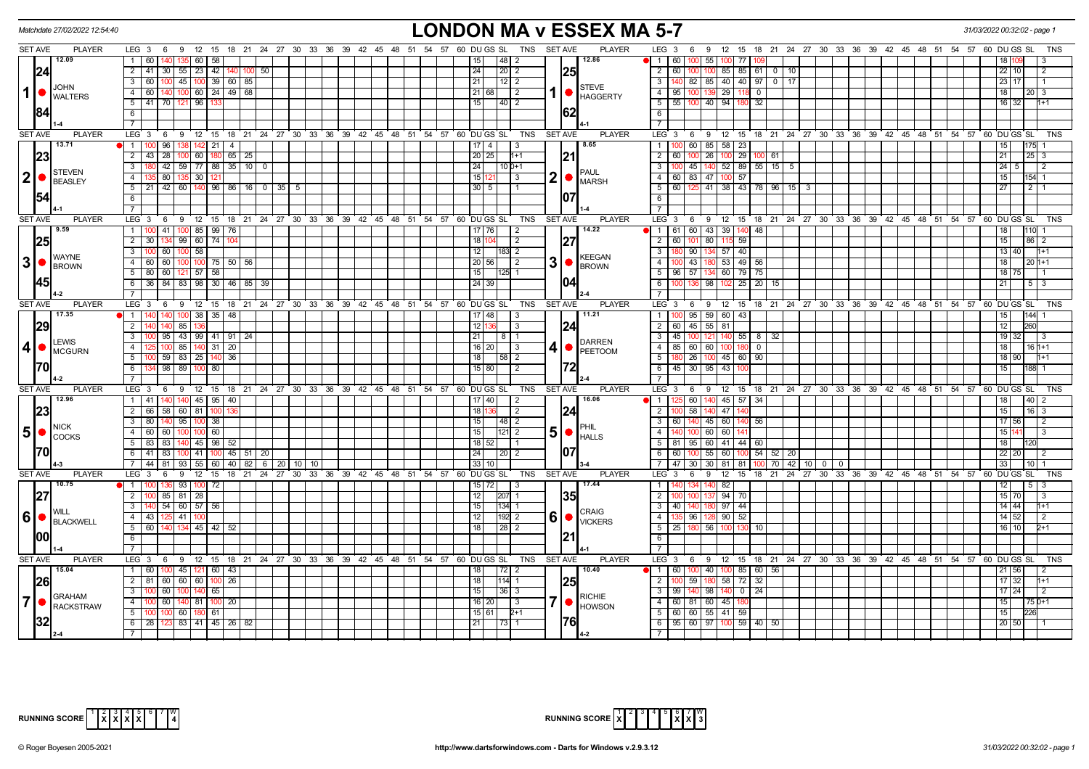|                | Matchdate 27/02/2022 12:54:40                                                         |                                                                                                 | <b>LONDON MA v ESSEX MA 5-7</b>                                                                                                                                                                                                                                                                                                                          |                                                                                   | 31/03/2022 00:32:02 - page           |
|----------------|---------------------------------------------------------------------------------------|-------------------------------------------------------------------------------------------------|----------------------------------------------------------------------------------------------------------------------------------------------------------------------------------------------------------------------------------------------------------------------------------------------------------------------------------------------------------|-----------------------------------------------------------------------------------|--------------------------------------|
| <b>SET AVE</b> | <b>PLAYER</b>                                                                         | LEG 3 6 9 12 15 18 21 24 27 30 33 36 39 42 45 48 51 54 57 60 DUGS SL                            | TNS SET AVE<br><b>PLAYER</b>                                                                                                                                                                                                                                                                                                                             | LEG 3 6 9 12 15 18 21 24 27 30 33 36 39 42 45 48 51 54 57 60 DUGS SL              | TNS                                  |
|                | 12.09                                                                                 | $1$ 60<br>$135$ 60<br>58                                                                        | 12.86<br> 48  2<br>15                                                                                                                                                                                                                                                                                                                                    | $\bullet$ 1 60<br>55<br>77                                                        |                                      |
|                | 24                                                                                    | 2 41 30 55 23 42 140 100<br>50                                                                  | 25<br>24<br>$\vert 20 \vert 2 \vert$                                                                                                                                                                                                                                                                                                                     | $\overline{2}$<br>60 100 100<br>85 85 61<br>$0$   10                              | 22 10<br>$\overline{2}$              |
|                |                                                                                       | 45   100   39   60   85  <br>$\overline{3}$<br>60<br>100                                        | 21                                                                                                                                                                                                                                                                                                                                                       | 82   85   40   40   97   0   17<br>$\overline{3}$<br>140                          | 23 17                                |
| $\vert$ 1      | <b>JOHN</b><br><b>O</b> WALTERS                                                       | $100$ 60 $24$ $149$ 68<br>$\overline{4}$<br>60<br>140                                           | <b>STEVE</b><br>1   HAGGERTY<br>$21 68 $   2                                                                                                                                                                                                                                                                                                             | $\overline{4}$<br>95 100 139 29<br>l n                                            | 18  <br>20 I 3                       |
|                |                                                                                       | 41 70 121 96<br>5                                                                               | 15<br>$\overline{140}$ 2                                                                                                                                                                                                                                                                                                                                 | $5$   55   100   40   94   180<br>32                                              | 16 32<br>$1+1$                       |
|                | 184                                                                                   | 6                                                                                               | 62                                                                                                                                                                                                                                                                                                                                                       | 6                                                                                 |                                      |
|                |                                                                                       |                                                                                                 |                                                                                                                                                                                                                                                                                                                                                          | $\overline{7}$                                                                    |                                      |
| SET AVE        | <b>PLAYER</b>                                                                         | LEG <sub>3</sub><br>9 12 15 18 21 24 27 30 33 36 39 42 45 48 51 54 57 60 DUGS SL<br>6           | TNS<br>SET AVE<br><b>PLAYER</b>                                                                                                                                                                                                                                                                                                                          | LEG 3<br>6 9 12 15 18 21 24 27 30 33 36 39 42 45 48 51 54 57 60 DUGS SL           | TNS                                  |
|                | 13.71                                                                                 | 1 100 96 138 142 21<br>$-4$                                                                     | 8.65<br>$17$   4  <br>l 3                                                                                                                                                                                                                                                                                                                                | 100 60 85 58 23<br>-1 I                                                           | 175<br>15 <sub>1</sub>               |
|                | 23                                                                                    | $\overline{28}$<br>$100$ 60<br>$180$ 65 $25$<br>$\overline{2}$<br>43                            | 20 25 <br> 21<br>$1 + 1$                                                                                                                                                                                                                                                                                                                                 | $\overline{2}$<br>60<br>$100$ 26<br>29 100 61<br>100                              | 21<br>$25 \overline{\smash{)}3}$     |
|                |                                                                                       | 42 59 77 88 35 10<br>3<br>$\overline{0}$                                                        | 24<br>$110D+1$                                                                                                                                                                                                                                                                                                                                           | 100 45 140 52 89 55 15 5<br>$\mathbf{3}$                                          | $24 \quad 5$<br>$\overline{2}$       |
| $ 2  \bullet$  | STEVEN                                                                                | $\overline{4}$<br>80   135   30                                                                 | <b>PAUL</b><br>$2$ $\bullet$ $\frac{1}{MARSH}$<br>15 121<br>$\vert$ 3                                                                                                                                                                                                                                                                                    | 4 60 83 47 100 57                                                                 | 15 <sub>1</sub><br>154 1             |
|                | BEASLEY                                                                               | $5$   21   42   60   140   96   86   16   0   35<br>5                                           | 30 5 1                                                                                                                                                                                                                                                                                                                                                   | 5   60   125   41   38   43   78   96   15   3                                    | 27 <sup>1</sup>                      |
|                | 154                                                                                   | 6                                                                                               | 107                                                                                                                                                                                                                                                                                                                                                      |                                                                                   |                                      |
|                |                                                                                       |                                                                                                 |                                                                                                                                                                                                                                                                                                                                                          | $\overline{7}$                                                                    |                                      |
| SET AVE        | <b>PLAYER</b>                                                                         | LEG 3<br>9 12 15 18 21 24 27 30 33 36 39 42 45 48 51 54 57 60 DUGS SL<br>6                      | TNS<br><b>SET AVE</b><br><b>PLAYER</b>                                                                                                                                                                                                                                                                                                                   | LEG 3<br>$6 \t9$<br>12 15 18 21 24 27 30 33 36 39 42 45 48 51 54 57               | 60 DU GS SL<br><b>TNS</b>            |
|                | 19.59                                                                                 | $\overline{1}$<br>41<br>$100$ 85 99 76                                                          | 14.22<br>17 76<br>$\vert$ 2                                                                                                                                                                                                                                                                                                                              | 1 61 60 43 39<br>$140 - 48$                                                       |                                      |
|                | 25                                                                                    | 99   60   74<br>$\overline{2}$<br>- 30                                                          | 18<br> 27<br>$\overline{2}$                                                                                                                                                                                                                                                                                                                              | $\overline{2}$<br>60<br>59<br>80<br>115                                           | 15<br>86 2                           |
|                |                                                                                       | 100 60 100 58<br>3                                                                              | 12<br>11831 2                                                                                                                                                                                                                                                                                                                                            | 3<br>90 134 57 40                                                                 | $13 \overline{)40}$<br>$1 + 1$       |
|                | <b>WAYNE</b><br>$3$ $\bullet$ $\beta$ $\beta$ $\beta$ $\beta$ $\beta$ $\beta$ $\beta$ | $\overline{4}$<br>60<br>75<br>50<br>60<br>56                                                    | <b>KEEGAN</b><br>$3$ $\bullet$ $\beta$ $\beta$ $\beta$ $\beta$ $\beta$ $\beta$<br>20 56 <br>l 2                                                                                                                                                                                                                                                          | $53 \mid 49 \mid 56$<br>$\overline{4}$<br>$-43$                                   | 18<br>20 h+1                         |
|                |                                                                                       | 80<br>60<br>$121$ 57 58<br>5                                                                    | 15<br>$ 125 $ 1                                                                                                                                                                                                                                                                                                                                          | 5<br>$96$   57<br>60 79 75                                                        | 18 75                                |
|                | 145                                                                                   | 36 84 83 98 30 46 85 39<br>- 6                                                                  | 104<br>24 39                                                                                                                                                                                                                                                                                                                                             | 25 20<br>6<br>100 l<br>l 98<br>-15                                                | 21<br>$5 \mid 3$                     |
|                |                                                                                       |                                                                                                 |                                                                                                                                                                                                                                                                                                                                                          |                                                                                   |                                      |
| <b>SET AVE</b> | <b>PLAYER</b>                                                                         | LEG <sub>3</sub><br>6 9 12 15 18 21 24 27 30 33 36 39 42 45 48 51                               | <b>PLAYER</b><br>54 57 60 DU GS SL<br>TNS<br><b>SET AVE</b>                                                                                                                                                                                                                                                                                              | $LEG$ 3<br>9 12 15 18 21 24 27 30 33 36 39 42 45 48 51 54 57 60 DUGS SL<br>6      | <b>TNS</b>                           |
|                | 17.35                                                                                 | $\overline{1}$<br>100 38 35 48                                                                  | 11.21<br>$17$   48                                                                                                                                                                                                                                                                                                                                       | $95 \mid 59 \mid 60 \mid 43$<br>$1 \vert$                                         |                                      |
|                | 29                                                                                    | $\overline{2}$<br>85 I 13                                                                       | 12   1<br>124<br>-3                                                                                                                                                                                                                                                                                                                                      | 2 60 45 55 81                                                                     | 12                                   |
|                |                                                                                       | 43 99 41 91 24<br>3<br>95                                                                       | 21<br>8   1                                                                                                                                                                                                                                                                                                                                              | 45<br>$55 \mid 8$<br>32                                                           | 19                                   |
| $\mathbf{4}$   | <b>LEWIS</b>                                                                          | 85 140 31 20<br>$\overline{4}$<br>100                                                           | <b>DARREN</b><br>(4)<br>$16$   20  <br>$\vert$ 3                                                                                                                                                                                                                                                                                                         | 85 60 60 100<br>$\overline{4}$<br>180<br>$\Omega$                                 | $161+1$<br>18 <sup>1</sup>           |
|                | MCGURN                                                                                | $59$ 83 25 140<br>5<br>$-36$                                                                    | <b>PEETOOM</b><br>18<br>$\begin{array}{c c c c c} \hline 158 & 2 \\ \hline \end{array}$                                                                                                                                                                                                                                                                  | 180 26 100 45 60 90<br>$5-1$                                                      | 18 90<br>$1+1$                       |
|                | 170                                                                                   | 98 89 100<br>6<br>80                                                                            | 172<br>$15$ 80<br>l 2                                                                                                                                                                                                                                                                                                                                    | 6 45 30 95 43                                                                     | 15 <sub>1</sub>                      |
|                |                                                                                       |                                                                                                 |                                                                                                                                                                                                                                                                                                                                                          | $\overline{7}$                                                                    |                                      |
| <b>SET AVE</b> | <b>PLAYER</b>                                                                         | LEG <sub>3</sub><br>9 12 15<br>18 21 24 27 30 33 36 39 42 45 48 51 54 57 60 DUGS SL<br>6        | <b>SET AVE</b><br><b>PLAYER</b><br><b>TNS</b>                                                                                                                                                                                                                                                                                                            | $LEG$ 3<br>12 15 18 21 24 27 30 33 36 39 42 45 48 51 54 57 60 DUGS SL<br>6<br>່ 9 | <b>TNS</b>                           |
|                | 12.96                                                                                 | $140$ 45 95 40<br>1 41 140                                                                      | 16.06<br>$17$   40  <br>$\sqrt{2}$                                                                                                                                                                                                                                                                                                                       | 60 140 45 57 34<br>$1 \mid$                                                       | 40<br>18<br>2                        |
|                | 23                                                                                    | $\overline{2}$<br>66<br>58<br>60 81                                                             | 18<br>$\begin{array}{c} \boxed{2} \end{array}$<br>124                                                                                                                                                                                                                                                                                                    | 58<br>47<br>$\overline{2}$                                                        | 15<br>$16 \mid 3$                    |
|                |                                                                                       | 95   100   38<br>80<br>3                                                                        | 15<br> 48 2                                                                                                                                                                                                                                                                                                                                              | 60   140   45   60  <br>3 <sup>1</sup><br>140 56                                  | 17 56<br>$\sqrt{2}$                  |
|                | NICK<br>$50^\circ$ $\sim$                                                             | 60 60<br>$\overline{4}$<br>100 100 60                                                           | 15<br>5∣●<br>$ 121 $ 2                                                                                                                                                                                                                                                                                                                                   | $\overline{4}$<br>140                                                             | 15 14<br>  3                         |
|                |                                                                                       | 5 83 83<br>$140$   45   98   52                                                                 | <b>HALLS</b><br>$18$ 52                                                                                                                                                                                                                                                                                                                                  | 5   81   95   60   41   44   60                                                   | 18 I                                 |
|                |                                                                                       | 100 41   100   45   51   20<br>41 83                                                            | 24<br> 20 2                                                                                                                                                                                                                                                                                                                                              | $\sqrt{55}$ 60 100 54 52 20<br>60                                                 | 22 20                                |
|                |                                                                                       | $93 \mid 55 \mid 60 \mid 40 \mid 82 \mid 6 \mid 20$<br>44 81<br>$10 \mid 10$                    | 33 10                                                                                                                                                                                                                                                                                                                                                    | 30 30 81<br>70 42 10 0 0<br>47<br>81                                              | 33 <sup>°</sup>                      |
| <b>SET AVE</b> | <b>PLAYER</b>                                                                         | 18 21 24 27 30 33 36 39 42 45 48 51 54 57 60 DUGS SL<br>$LEG \ 3 \ 6$<br>$9 \t12 \t15$          | <b>TNS</b><br><b>SET AVE</b><br><b>PLAYER</b>                                                                                                                                                                                                                                                                                                            | 12 15 18 21 24 27 30 33 36 39 42 45 48 51 54 57 60 DUGS SL<br>LEG 3<br>69         | <b>TNS</b>                           |
|                | 10.75                                                                                 | 93   100   72<br>  1   100 136                                                                  | $15 \mid 72 \mid$<br>17.44<br>$\vert$ 3                                                                                                                                                                                                                                                                                                                  | 82<br>$\mathbf{1}$                                                                | 12<br>$5^{\circ}$                    |
|                | 27                                                                                    | $100 \ 85 \ 81 \ 28$<br>$\overline{2}$                                                          | 12<br> 35 <br>$ 207 $ 1                                                                                                                                                                                                                                                                                                                                  | $94$ 70<br>$\overline{2}$                                                         | $15$ 70<br>3                         |
|                |                                                                                       | 140 54 60 57 56<br>3                                                                            | 15<br>$134$ 1                                                                                                                                                                                                                                                                                                                                            | $97 - 44$<br>40   140   180<br>3                                                  | $14$ 44<br>$1+1$                     |
|                | WILL<br>$\vert 6 \vert$ $\bullet$ $\vert_{\text{\tiny{BLACKWELL}}}$                   | 4<br>43 125 41 100                                                                              | <b>CRAIG</b><br>$6$ $\bullet$ $\frac{6}{2}$ $\frac{6}{2}$ $\frac{6}{2}$ $\frac{6}{2}$ $\frac{6}{2}$ $\frac{6}{2}$ $\frac{6}{2}$ $\frac{6}{2}$ $\frac{6}{2}$ $\frac{6}{2}$ $\frac{6}{2}$ $\frac{6}{2}$ $\frac{6}{2}$ $\frac{6}{2}$ $\frac{6}{2}$ $\frac{6}{2}$ $\frac{6}{2}$ $\frac{6}{2}$ $\frac{6}{2}$ $\frac{6}{2}$ $\frac{6}{2}$ $\$<br>12<br>11921 2 | 96 128 90 52<br>4                                                                 | $14$ 52<br>$\sqrt{2}$                |
|                |                                                                                       | 5<br>60<br>134 45 42 52<br>140                                                                  | 18<br> 28 2                                                                                                                                                                                                                                                                                                                                              | $5-1$<br>25 180<br>56<br>1ስስ                                                      | 16 10<br>$2+1$                       |
|                | 1001                                                                                  | 6                                                                                               | 121                                                                                                                                                                                                                                                                                                                                                      | 6                                                                                 |                                      |
|                |                                                                                       |                                                                                                 |                                                                                                                                                                                                                                                                                                                                                          |                                                                                   |                                      |
| <b>SET AVE</b> | <b>PLAYER</b>                                                                         | LEG <sub>3</sub><br>9 12 15 18 21 24 27 30 33 36 39 42 45 48 51 54 57 60 DUGS SL<br>$6^{\circ}$ | <b>PLAYER</b><br>TNS<br>SET AVE                                                                                                                                                                                                                                                                                                                          | $LEG \ 3$<br>6 9 12 15 18 21 24 27 30 33 36 39 42 45 48 51 54 57 60 DUGS SL       | <b>TNS</b>                           |
|                | 15.04                                                                                 | 45 121 <br>60 43<br>$\mathbf{1}$                                                                | 10.40<br>18 <sup>1</sup>                                                                                                                                                                                                                                                                                                                                 | 100 85 60 56<br>$1 \ 60$<br>$\overline{40}$                                       | 21 56                                |
|                | 26                                                                                    | 2 81 60 60 60 100 26                                                                            | 25<br>18<br> 114  1                                                                                                                                                                                                                                                                                                                                      | $\overline{2}$<br>100 59 180 58 72 32                                             | $17 \overline{\smash{)}32}$<br>$1+1$ |
|                |                                                                                       | $\overline{3}$<br>100 60<br>65                                                                  | $\overline{15}$<br>$ 36 $ 3                                                                                                                                                                                                                                                                                                                              | $\overline{3}$<br>99<br>140 98<br>140<br>$0 \mid 24$                              | $17$ 24<br>$\overline{2}$            |
| $\overline{7}$ | <b>GRAHAM</b>                                                                         | 60<br>$\overline{4}$<br>140 81 I<br>20<br>100                                                   | <b>RICHIE</b><br>$16$   20  <br>l 3                                                                                                                                                                                                                                                                                                                      | 60 81 60 45<br>$\overline{4}$                                                     | 75 0+1<br>15 I                       |
|                | <b>RACKSTRAW</b>                                                                      | 60 180 61<br>5<br>100                                                                           | <b>HOWSON</b><br>15 61 <br>$2+1$                                                                                                                                                                                                                                                                                                                         | $5 \mid 60 \mid 60 \mid 55 \mid 41 \mid 59 \mid$                                  | 15 <sub>l</sub><br>226               |
|                |                                                                                       | 83 41 45 26 82<br>$6 \mid 28$<br>123                                                            | 76 <br>21<br>$\vert$ 73 $\vert$ 1                                                                                                                                                                                                                                                                                                                        | $6$   95   60   97   100   59   40   50                                           | 20 50                                |
|                |                                                                                       |                                                                                                 | $14-2$                                                                                                                                                                                                                                                                                                                                                   | $\overline{7}$                                                                    |                                      |



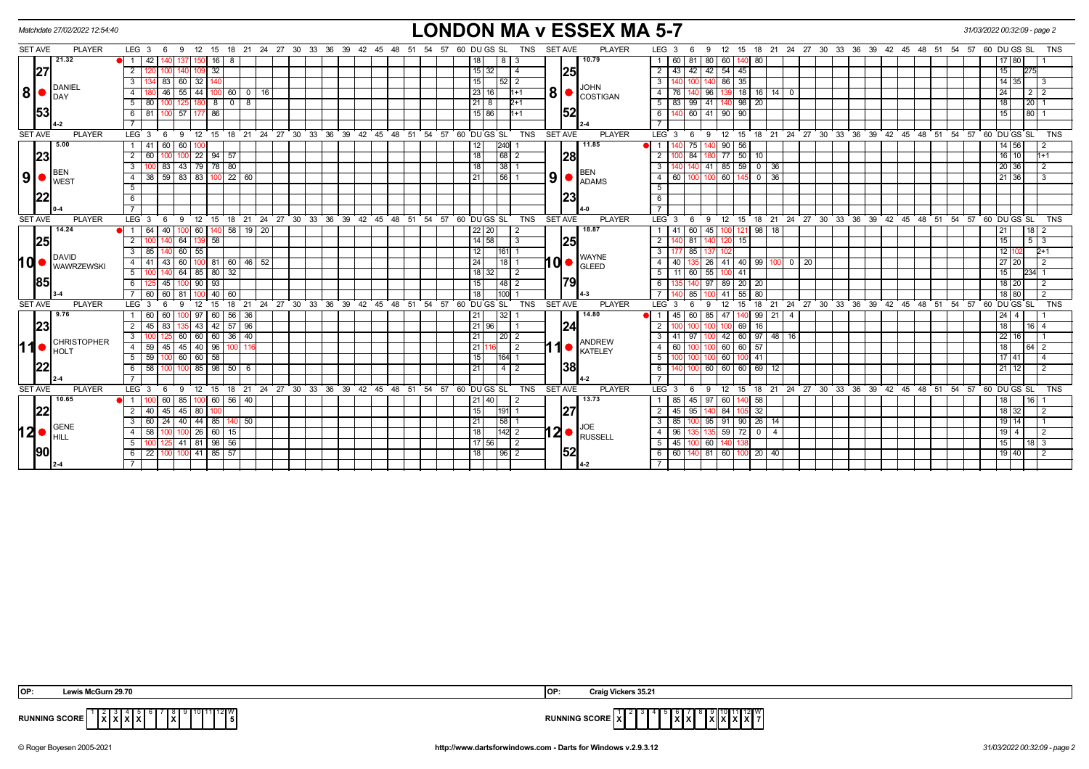|                | Matchdate 27/02/2022 12:54:40 |                                                                                                                                                        | <b>LONDON MA v ESSEX MA 5-7</b>                                                                                                                                                                         | 31/03/2022 00:32:09 - page 2                                             |
|----------------|-------------------------------|--------------------------------------------------------------------------------------------------------------------------------------------------------|---------------------------------------------------------------------------------------------------------------------------------------------------------------------------------------------------------|--------------------------------------------------------------------------|
| <b>SET AVE</b> | <b>PLAYER</b>                 | $LEG_36$<br>12 15 18 21 24 27 30 33 36 39 42 45 48 51 54 57 60 DUGS SL<br>- 9                                                                          | <b>SET AVE</b><br><b>PLAYER</b><br>LEG <sub>3</sub><br>TNS<br>- 6<br>-9                                                                                                                                 | 12 15 18 21 24 27 30 33 36 39 42 45 48 51 54 57 60 DUGS SL<br><b>TNS</b> |
|                | 21.32                         | 42<br>16 I<br>$\blacksquare$<br>l 8<br>32<br>2                                                                                                         | 10.79<br>80 60<br>18<br>  81  <br>140 80<br>8   3<br>60<br>54<br>$15 \mid 32$<br>43<br>$\overline{2}$<br>$42 \mid 42 \mid$<br>45<br>-4                                                                  | 17 80<br>15<br>275                                                       |
| 27             |                               | 134 83<br>$60 \mid 32$<br>3                                                                                                                            | 25<br>140 86<br>15<br>35<br>3<br> 52 2                                                                                                                                                                  | 14 35<br>l 3                                                             |
| 8 ●            | DANIEL                        | 46<br>55   44<br>  60  <br>0   16                                                                                                                      | <b>JOHN</b><br>8 <sup>1</sup><br> 23 16<br>$\overline{18}$ 16<br>$1 + 1$<br>96<br>$14$   0<br>4   76<br>139                                                                                             | 24<br>$2 \mid 2$                                                         |
|                | <b>IDAY</b>                   | 8<br>5 I<br>80<br>  0   8  <br>180 I                                                                                                                   | COSTIGAN<br>$21 \mid 8$<br>$2+1$<br>5   83   99   41   140   98   20                                                                                                                                    | 18 <sup>1</sup><br>$ 20 $ 1                                              |
| 153            |                               | 81<br>57   177   86<br>6<br>100                                                                                                                        | 52<br>15 86<br>6<br>60 41 90<br>90<br>l1+1                                                                                                                                                              | 15<br>80                                                                 |
|                | 4-2                           |                                                                                                                                                        | $7^{\circ}$                                                                                                                                                                                             |                                                                          |
| <b>SET AVE</b> | <b>PLAYER</b>                 | 9 12 15 18 21 24 27 30 33 36 39 42 45 48 51 54 57 60 DUGS SL<br>LEG $3 \quad 6$                                                                        | <b>PLAYER</b><br><b>TNS</b><br><b>SET AVE</b><br>LEG <sub>3</sub><br>6<br>9                                                                                                                             | 12 15 18 21 24 27 30 33 36 39 42 45 48 51 54 57 60 DUGS SL<br><b>TNS</b> |
|                | 5.00                          | 41<br>60<br>60 100<br>-1 L                                                                                                                             | 12<br>$240$ 1<br>11.85<br>140 90<br>$\overline{1}$<br>75<br>56                                                                                                                                          | $14 \overline{56}$<br>$\overline{2}$                                     |
| 23             |                               | 60<br>$22 \mid 94 \mid 57$<br><sup>2</sup>                                                                                                             | 18<br>28<br>$\overline{2}$<br>84<br>77<br>$50 \mid 10$                                                                                                                                                  | $16$ 10<br>$1+1$                                                         |
|                |                               | 43 79 78 80<br>83<br>$\mathbf{3}$<br>$100 \text{ }$                                                                                                    | 85<br>18<br>$59$ 0 36<br>$38$   1<br>41<br>3                                                                                                                                                            | 20 36<br>$\overline{2}$                                                  |
| ا9ا            | <b>BEN</b><br><b>I</b> WEST   | 38 59 83 83 100 22 60<br>4 I                                                                                                                           | <b>BEN</b><br>9<br>$100$ 100 60<br>21<br> 56 1<br>$145$ 0 36<br>4   60<br>$\bullet$ $ADAMS$                                                                                                             | 21 36<br>-3                                                              |
|                |                               | -5                                                                                                                                                     | 5                                                                                                                                                                                                       |                                                                          |
|                |                               | 6                                                                                                                                                      | 23<br>6                                                                                                                                                                                                 |                                                                          |
|                |                               |                                                                                                                                                        | $7^{\circ}$                                                                                                                                                                                             |                                                                          |
| <b>SET AVE</b> | <b>PLAYER</b>                 | 18 21 24 27 30 33 36 39 42 45 48 51 54 57 60 DUGS SL<br>LEG <sub>3</sub><br>$\overline{12}$<br>15<br>9<br>- 6                                          | TNS<br><b>SET AVE</b><br><b>PLAYER</b><br>LEG <sup>3</sup><br>12<br>15<br>- 6<br>9                                                                                                                      | 18 21 24 27 30 33 36 39 42 45 48 51 54 57<br>60 DU GS SL<br><b>TNS</b>   |
|                | 14.24                         | $\overline{100}$ 60<br>140 58 19 20<br>64<br>40<br>$\blacksquare$                                                                                      | 18.87<br>18<br>$22$ 20<br>60 I<br>45<br>121 98<br>-41<br>1001<br>2                                                                                                                                      | $18$   2<br>21                                                           |
| 25             |                               | $64$ 139 58<br>$\overline{2}$<br>$100$ 140                                                                                                             | 14   58<br>$2 \mid 140$<br>25<br>81 140 120<br>15<br>$\overline{\cdot}$                                                                                                                                 | 15<br>$5\overline{3}$                                                    |
|                | DAVID                         | 85<br>$60$ 55                                                                                                                                          | 12<br>85<br> 161  1<br>3<br>137                                                                                                                                                                         | 12 <sup>1</sup><br>$2+1$                                                 |
| hd             | <b>WAWRZEWSKI</b>             | 43<br>60   100   81   60   46   52<br>4   41                                                                                                           | $10o$ (GLEED<br>24<br>$18$   1<br>41<br>40 99<br>$\overline{4}$<br>40<br>26<br>100   0   20                                                                                                             | 27 20<br>2                                                               |
|                |                               | 64 85 80 32<br>$5 \vert$<br>100 140                                                                                                                    | $18$ 32<br>$5-1$<br>11 60 55 100 41<br>2                                                                                                                                                                | 15<br>234 1                                                              |
| 85             |                               | $100$ 90<br>93<br>45<br>6 I<br>125                                                                                                                     | 79<br>$97$ 89<br>15<br> 48 2<br>$20 \mid 20$<br>6                                                                                                                                                       | 18 20<br>$\sqrt{2}$                                                      |
|                |                               | $40 \mid 60$<br>60<br>60<br>81                                                                                                                         | 18 <sup>1</sup><br>100<br>$55$ 80<br>85<br>41                                                                                                                                                           | 18 80<br>$\overline{2}$                                                  |
| <b>SET AVE</b> | <b>PLAYER</b><br>9.76         | 24 27 30<br>33 36<br>$39^{\circ}$<br>LEG <sub>3</sub><br>15<br>18<br>$^{\circ}$ 21<br>42 45 48 51<br>$12 \overline{ }$<br>100 97<br> 56 36<br>60<br>60 | 60 DU GS SL<br><b>TNS</b><br><b>SET AVE</b><br><b>PLAYER</b><br>21 24 27 30 33 36 39<br>$-54$<br>57<br>LEG <sub>3</sub><br>18<br>$12 \overline{ }$<br>-6<br>15<br>32 <br>14.80<br>60   85  <br>47<br>45 | 42 45 48 51<br>60 DU GS SL<br>54 57<br><b>TNS</b><br>$24 \mid 4$         |
| 23             |                               | 60<br>42<br>$\overline{196}$<br>45<br>83<br>5 43<br> 57                                                                                                | 21<br>21<br>140 99<br>-4<br>21 96<br> 24<br>2<br>69 16                                                                                                                                                  | 18<br>$16\overline{14}$                                                  |
|                |                               | $\overline{3}$<br>60 60 60 36 40                                                                                                                       | 21<br>100 42 60 97 48 16<br>3   41<br> 20 2<br>l 97 I                                                                                                                                                   | $22 \ 16$                                                                |
| 11             | <b>CHRISTOPHER</b>            | 59<br>45 40 96<br>45<br>4 I                                                                                                                            | <b>ANDREW</b><br>60<br>21<br>$60 \mid 57$<br>$\overline{4}$<br>60<br>$\overline{2}$                                                                                                                     | 18<br>64 I 2                                                             |
|                | IHOLT                         | $60 \ 60 \ 58$<br>$5 \ 159 \ 100$                                                                                                                      | <b>KATELEY</b><br>$100$ 60<br>15<br><b>1164 1</b><br>5 <sup>1</sup><br>100 41                                                                                                                           | $17 \ 41$<br>$\vert$ 4                                                   |
|                |                               | $100$ 85 $\overline{)$ 98 $\overline{)}$ 50 $\overline{)}$<br>58<br>6                                                                                  | <b>38</b><br>60<br>21<br>60<br>60 69<br>12<br>4 <sup>1</sup><br>6                                                                                                                                       | $21$ 12<br>$\overline{2}$                                                |
|                |                               |                                                                                                                                                        | $\overline{7}$                                                                                                                                                                                          |                                                                          |
| <b>SET AVE</b> | <b>PLAYER</b>                 | LEG $3 \t6$<br>9 12 15 18 21 24 27 30 33 36 39<br>42<br>45<br>-48                                                                                      | <b>PLAYER</b><br>60 DU GS SL<br>TNS<br><b>SET AVE</b><br>LEG <sub>3</sub><br>12 15 18 21 24 27 30 33 36 39<br>51<br>-54<br>57<br>- 6<br>9                                                               | 60 DU GS SL<br>42<br>45 48<br>51<br>- 54<br>57<br><b>TNS</b>             |
|                | 10.65                         | 60<br>$\vert$ 56 $\vert$<br>40<br>$\overline{1}$<br>60<br>85                                                                                           | 13.73<br>$21 \overline{40}$<br>85<br>97<br>60<br>140 58<br>45 I<br>1 <sup>1</sup>                                                                                                                       | 16<br>18                                                                 |
| 22             |                               | $45$ 80<br>2 <sup>1</sup><br>40<br>45                                                                                                                  | 27<br>15<br>$\overline{2}$<br>45<br>84<br>$105 - 32$<br>191 1<br>95<br>40                                                                                                                               | 18 32<br>$\overline{2}$                                                  |
|                |                               | $40 \mid 44 \mid 85 \mid$<br>$^{24}$<br>50<br>$\mathbf{B}$<br>60                                                                                       | 21<br> 58 1<br>85<br>91<br>$90 \mid 26$<br>$\mathbf{3}$<br>95<br>14                                                                                                                                     | $19$ 14                                                                  |
| <u> 12 ●</u>   | GENE<br>Ihill                 | 58<br>100 26 60 15<br>4 I                                                                                                                              | $12 \bullet  _{\text{\tiny{RUSSEL}}}$<br> 18 <br>$ 142 $ 2<br>135 59 72 0<br>4   96<br>$\overline{4}$                                                                                                   | $19 \mid 4$<br>$\overline{2}$                                            |
|                |                               | 98<br>$41$ 81<br>$\sqrt{56}$<br>5<br>100                                                                                                               | 17 56<br>$5 \mid 45$<br>60<br>2                                                                                                                                                                         | 15<br>18   3                                                             |
| 190            |                               | $100$ 41 85 57<br>$6 \mid 22$<br>100                                                                                                                   | 52<br> 18 <br>6 6 6 140 81 60 100 20 40<br>$\begin{array}{c c c c c c} \hline \text{196} & 2 \\ \hline \end{array}$                                                                                     | 19 40<br>$\overline{2}$                                                  |
|                |                               |                                                                                                                                                        | $7^{\circ}$                                                                                                                                                                                             |                                                                          |

| OP:                  | cGurn 29.70<br>Lewis Mr                     | <b>IOF</b> | aig Vickers 35.21                                                  |
|----------------------|---------------------------------------------|------------|--------------------------------------------------------------------|
| <b>RUNNING SCORE</b> | l ĭ l<br>$\sim$ $\sim$ $\sim$ $\sim$ $\sim$ |            | 0.000<br>$\sim$<br>.<br><b>J</b> SLUKE I<br>1 A I A<br>,,,,,,<br>. |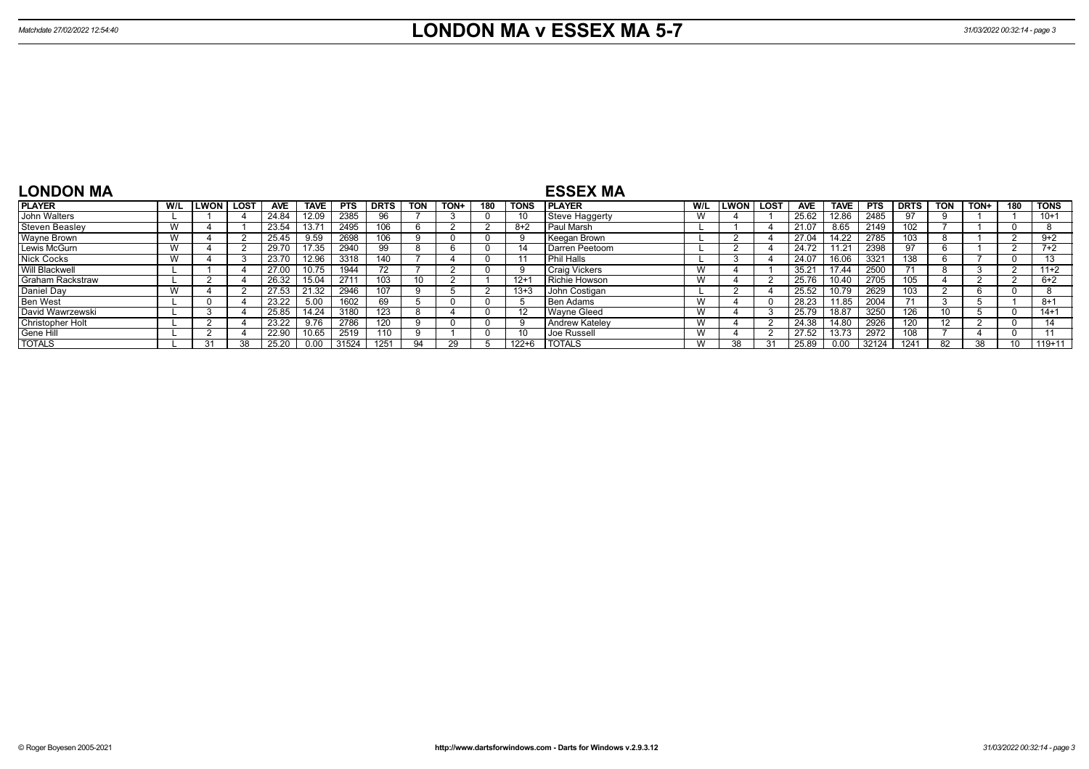| <b>LONDON MA</b>        |     |              |             |       |             |            |             |                 |      |     |             | <b>ESSEX MA</b>      |     |      |        |            |             |             |                 |            |      |     |             |
|-------------------------|-----|--------------|-------------|-------|-------------|------------|-------------|-----------------|------|-----|-------------|----------------------|-----|------|--------|------------|-------------|-------------|-----------------|------------|------|-----|-------------|
| <b>PLAYER</b>           | W/L | <b>ILWON</b> | <b>LOST</b> | AVE   | <b>TAVE</b> | <b>PTS</b> | <b>DRTS</b> | <b>TON</b>      | TON+ | 180 | <b>TONS</b> | I PLAYER             | W/L | LWON | ⊺ LOST | <b>AVE</b> | <b>TAVE</b> | <b>PTS</b>  | <b>DRTS</b>     | <b>TON</b> | TON+ | 180 | <b>TONS</b> |
| John Walters            |     |              |             | 24.84 | 12.09       | 2385       | 96          |                 |      |     |             | Steve Haggerty       | W   |      |        | 25.62      | 12.86       | 2485        | 97              |            |      |     | $10+1$      |
| <b>Steven Beaslev</b>   |     |              |             | 23.54 | 13.71       | 2495       | 106         |                 |      |     | $8+2$       | Paul Marsh           |     |      |        | 21.07      | 8.65        | 2149        | 02 <sub>2</sub> |            |      |     |             |
| <b>Wayne Brown</b>      |     |              |             | 25.45 | 9.59        | 2698       |             |                 |      |     |             | Keegan Brown         |     |      |        | 27.04      | 14.22       | 2785        | .03             |            |      |     | $9+2$       |
| Lewis McGurn            |     |              |             | 29.70 | 7.35        | 2940       | 99          |                 |      |     |             | Darren Peetoom       |     |      |        | 24.72      | 11.21       | 2398        | 97              |            |      |     | $7+2$       |
| <b>Nick Cocks</b>       |     |              |             | 23.70 | 12.96       | 3318       | 140         |                 |      |     |             | l Phil Halls         |     |      |        | 24.07      | 16.06       | 3321        | 138             |            |      |     | 12          |
| Will Blackwell          |     |              |             | 27.00 |             | 1944       |             |                 |      |     |             | <b>Craig Vickers</b> | W   |      |        | 35.21      | 17.44       | <b>2500</b> |                 |            |      |     | $11+2$      |
| <b>Graham Rackstraw</b> |     |              |             | 26.32 | 15.04       | 2711       | 103         | 10 <sup>1</sup> |      |     | $12+$       | Richie Howson        | W   |      |        | 25.76      | 10.40       | 2705        | 05              |            |      |     | $6+2$       |
| Daniel Day              |     |              |             | 27.53 | 21.32       | 2946       | 107         |                 |      |     | $13 + 3$    | John Costigan        |     |      |        | 25.52      | 10.79       | 2629        | 03              |            |      |     |             |
| <b>Ben West</b>         |     |              |             | 23.22 | 5.00        | 1602       | 69          |                 |      |     |             | <b>Ben Adams</b>     | W   |      |        | 28.23      | 11.85       | 2004        | 71              |            |      |     | $8 + 1$     |
| David Wawrzewski        |     |              |             | 25.85 | 14.24       | 3180       | 123         |                 |      |     |             | Wavne Gleed          | W   |      |        | 25.79      | 18.87       | 3250        | 126             |            |      |     | $14+1$      |
| Christopher Holt        |     |              |             | 23.22 | 9.76        | 2786       | 120         |                 |      |     | 9           | Andrew Katelev       | W   |      |        | 24.38      | 14.80       | 2926        | 120             | 12         |      |     | 14          |
| Gene Hill               |     |              |             | 22.90 | 0.65        | 2519       | 110         |                 |      |     |             | Joe Russell          | W   |      |        | 27.52      | 13.73       | 2972        | 08              |            |      |     |             |
| <b>TOTALS</b>           |     | 31           | 38          | 25.20 | 0.00        | 31524      | 1251        |                 |      |     | 122+6       | <b>I TOTALS</b>      | W   | 38   |        | 25.89      | 0.00        | 32124       | 1241            | 82         | 38   |     | $119+11$    |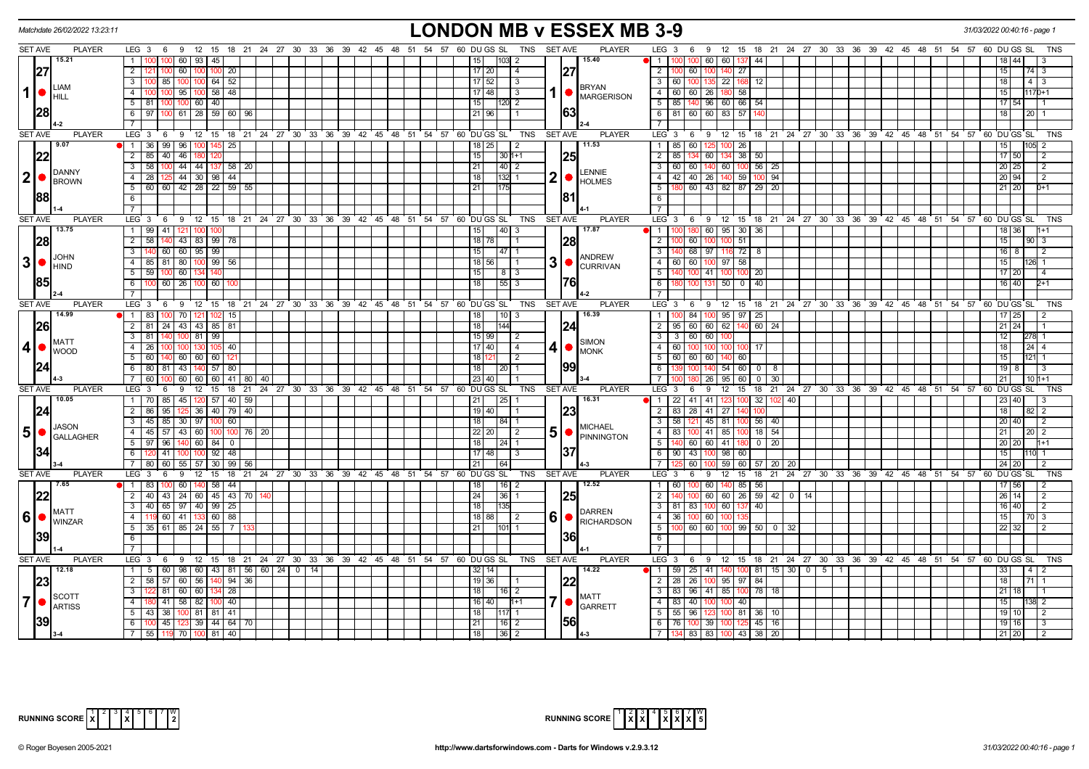| Matchdate 26/02/2022 13:23:11                 |                                                                                                | <b>LONDON MB v ESSEX MB 3-9</b>                                                        |                                                                                                       | 31/03/2022 00:40:16 - page 1        |
|-----------------------------------------------|------------------------------------------------------------------------------------------------|----------------------------------------------------------------------------------------|-------------------------------------------------------------------------------------------------------|-------------------------------------|
| <b>SET AVE</b><br><b>PLAYER</b>               | LEG 3 6 9 12 15 18 21 24 27 30 33 36 39 42 45 48 51 54 57 60 DUGS SL                           | <b>SET AVE</b><br><b>PLAYER</b><br><b>TNS</b>                                          | LEG 3 6 9 12 15 18 21 24 27 30 33 36 39 42 45 48 51 54 57 60 DUGS SL                                  |                                     |
| 15.21                                         | 1 <sup>1</sup><br>60   93  <br>45                                                              | 15.40<br>15<br> 103  2                                                                 | 60<br>11<br>60 137<br>44                                                                              |                                     |
| 27                                            | 2 <sup>1</sup><br>60   100<br>100 20<br>100                                                    | 27<br>$17 \mid 20$<br>4                                                                | $\overline{2}$<br>$100$ 60<br>100<br>140 27                                                           | 74 3<br>15                          |
| <b>LIAM</b>                                   | 85   100   100   64   52<br>$\overline{\phantom{a}3}$                                          | $17 \mid 52$<br>  3<br><b>BRYAN</b>                                                    | 3 <sup>1</sup><br>60 100 <br>135 22 168<br>12                                                         | 18<br>$4 \overline{3}$              |
| $\mathbf{1}$<br><b>HILL</b>                   | $58$ 48<br>$\overline{4}$<br>100 95 100                                                        | $17$ 48<br>1   MARGERISON<br>l 3                                                       | $-4$<br>60 60 26 180 58                                                                               | $1170+1$<br>15 I                    |
|                                               | $5 \mid 81$<br>40<br>100 100 60                                                                | 15<br>$120$ 2                                                                          | 5<br>85   140   96   60   66<br>54                                                                    | 17 54                               |
| 28                                            | $\overline{100}$ 61 28 59 60 96<br>$6 \mid 97$                                                 | 63<br>21   96                                                                          | $\overline{\phantom{1}6}$ $\overline{\phantom{1}}$<br>81 60 60 83 57                                  | $20$   1                            |
|                                               | $\overline{7}$                                                                                 |                                                                                        | $\overline{7}$                                                                                        |                                     |
| <b>SET AVE</b><br><b>PLAYER</b>               | LEG <sup>3</sup><br>6 9 12 15 18 21 24 27 30 33 36 39 42 45 48 51 54 57 60 DUGS SL             | TNS<br><b>SET AVE</b><br><b>PLAYER</b>                                                 | LEG 3 6 9 12 15 18 21 24 27 30 33 36 39 42 45 48 51 54 57 60 DUGS SL                                  | TNS                                 |
| 9.07                                          | $1 \overline{36}$<br>99 96 100 145 25                                                          | 11.53<br> 18 25 <br>$\vert$ 2                                                          | $\overline{1}$<br>85 60 125 100 26                                                                    | 105<br>15 I                         |
| 22                                            | 2 85<br>40 46 180                                                                              | 15<br>$30 1+1$                                                                         | $\overline{2}$<br>85   134   60   134   38<br>50                                                      | 17 50<br>l 2                        |
| DANNY                                         | 100 44 44 137 58 20<br>$3 \mid 58$                                                             | 21 <br>40 2<br>LENNIE                                                                  | $56 \mid 25$<br>3<br>60 60 140 60 100                                                                 | 20 25<br>l 2                        |
| 2 ●<br><b>BROWN</b>                           | $125$ 44 30 98 44<br>4 28                                                                      | $2  \bullet  _{\text{HOLMES}}$<br>  18  <br>132 1                                      | 4<br>42 40 26 140 59 100 94                                                                           | 20 94<br>$\overline{2}$             |
| 88                                            | 5 60 60 42 28 22 59 55                                                                         | 21<br>81                                                                               | 5<br>180 60 43 82 87 29 20                                                                            | 21 20<br>n+1                        |
|                                               | 6<br>$\overline{7}$                                                                            |                                                                                        | 6<br>$\overline{7}$                                                                                   |                                     |
| <b>SET AVE</b><br><b>PLAYER</b>               | LEG <sup>3</sup><br>$9 \quad 12$<br>15 18 21 24 27 30<br>6                                     | 33 36 39 42 45 48 51 54 57 60 DUGS SL<br><b>TNS</b><br><b>SET AVE</b><br><b>PLAYER</b> | $LEG \ 3 \ 6$<br>$12 \quad 15$<br>18 21 24 27 30 33 36 39 42 45 48 51 54 57 60 DUGS SL<br>9           | <b>TNS</b>                          |
| 13.75                                         | $1 \mid 99$<br>41<br>l 100<br>100                                                              | 40 3<br>17.87<br>15                                                                    | 180 60<br>95 30<br>36<br>l 1                                                                          | 36                                  |
| 28                                            | 43 83 99 78<br>$2 \mid 58$<br>140.                                                             | 28<br>  18   78                                                                        | 2<br>60<br>100 51                                                                                     | 15 <sub>1</sub><br>$901$ 3          |
|                                               | 3<br>60 60 95 99                                                                               | 15<br>$\sqrt{47}$ 1                                                                    | $\overline{\mathbf{3}}$<br>$140$ 68<br>97<br>116 72<br>8                                              | 16 I                                |
| <b>JOHN</b><br>3 •                            | $\overline{4}$<br>81<br>$99$ 56<br>80<br>85                                                    | <b>ANDREW</b><br>3 <sup>1</sup><br>$18$ 56                                             | $-4$<br>60<br>60<br>97<br>58<br>10በ                                                                   |                                     |
| HIND                                          | $5 \mid 59$<br>60<br>140<br>100 I                                                              | CURRIVAN<br>15<br>  8   3                                                              | 5<br>41<br>20                                                                                         | 17120                               |
| 1851                                          | $60$   26   100<br>60<br>6 I                                                                   | 1761<br>18<br> 55 3                                                                    | 40<br>6<br>50 0<br>131                                                                                | 40<br>16 I                          |
|                                               | $7^{\circ}$                                                                                    |                                                                                        | $\overline{7}$                                                                                        |                                     |
| <b>SET AVE</b><br><b>PLAYER</b>               | LEG <sub>3</sub><br>6 9 12<br>15 18 21 24 27 30 33 36 39                                       | <b>PLAYER</b><br>42 45 48 51 54 57 60 DUGS SL<br>TNS<br><b>SET AVE</b>                 | LEG 3<br>9 12 15 18 21 24 27 30 33 36 39 42 45 48 51 54 57 60 DUGS SL<br>- 6                          | <b>TNS</b>                          |
| 14.99                                         | $\overline{1}$   83<br>70   121<br>15<br>100<br>102                                            | 16.39<br>18 I<br>  10   3                                                              | $\mathbf{1}$<br>84<br>95 97<br>25<br>1001                                                             |                                     |
| 26                                            | $2 \mid 81$<br>24 43 43 85 81                                                                  | 18<br>144<br> 24                                                                       | $\overline{2}$<br>95   60   60   62   140<br>$60$   24                                                | 21   24                             |
| <b>MATT</b>                                   | 99<br>$3 \mid 81$<br>$100$ 81                                                                  | 15 99<br>- 2<br><b>SIMON</b>                                                           | 60<br>$\overline{\mathbf{3}}$<br>$3 \mid 60$                                                          | 278                                 |
| 4 <br><b>I</b> wood                           | $4 \overline{26}$<br>105 I 40                                                                  | 17 40 <br>$4 • $ MONK<br>$\vert 4 \vert$                                               | $-4$<br>60 I 100<br>100 I<br>17<br>100 100                                                            | $24 \mid 4$<br>18                   |
|                                               | $5 \ 60$<br>140 60 60 60 12                                                                    | 18<br>l 2                                                                              | $\overline{5}$<br>60 60 60 140 60                                                                     | 15                                  |
| 24                                            | 6 80 81 43 140 57 80                                                                           | 99<br>18<br>  20   1                                                                   | 6<br>139 100 140 54 60<br>$\begin{array}{c c} 0 & 8 \end{array}$                                      | 1988                                |
|                                               | $7 \overline{60}$<br>60 60 60 41 80 40<br>100                                                  | $23 40$                                                                                | $\overline{7}$<br>26<br>$95 \ 60$<br>$\overline{0}$<br>30                                             | 21                                  |
| SET AVE<br><b>PLAYER</b>                      | 9<br>12 15 18 21 24 27 30 33 36 39 42 45 48 51 54 57 60 DUGS SL<br>LEG 3<br>- 6                | TNS<br><b>SET AVE</b><br><b>PLAYER</b>                                                 | LEG <sub>3</sub><br>$12 \quad 15$<br>18 21 24 27 30 33 36 39 42 45 48 51 54 57 60 DUGS SL<br>6<br>- 9 | <b>TNS</b>                          |
| 10.05                                         | 1   70   85   45   120   57   40   59                                                          | 16.31<br>21<br>$\vert 25 \vert$ 1                                                      | 32   102   40<br>1 22 41 41 123 100                                                                   | 40<br>23 <sub>1</sub>               |
| 24                                            | $2 \mid 86$<br>95<br>$125$ 36<br>$140$ 79 40<br>3 45 85 30 97 100 60                           | 19 40<br> 23 <br>$\overline{1}$<br> 18                                                 | $\overline{2}$<br>83   28<br>41<br>27<br>$56$ 40<br>$\overline{\mathbf{3}}$<br>58 121<br>45 81 1      | 18 l<br>$82 \mid 2$<br>20140<br>l 2 |
| <b>JASON</b><br>5 <sup>1</sup>                | 4 45 57 43 60 100 100 76 20                                                                    | 84   1<br><b>MICHAEL</b><br> 22 20 <br>l 2                                             | $18$ 54<br>$\overline{4}$<br>83 100 41 85 1                                                           | 21                                  |
| GALLAGHER                                     | $5 \mid 97$<br>96<br>140 60 84 0                                                               | 5   FINNINGTON<br> 18 <br>  24   1                                                     | 5<br>140 60 60 41<br>$0 \mid 20$                                                                      | 20120                               |
|                                               | $92$   48<br>$6$ T<br>41                                                                       | 37<br>$17$ 48                                                                          | 6<br>$90 \mid 43$<br>98<br>100<br>60                                                                  | 15 <sup>1</sup>                     |
|                                               | 30   99   56<br>7 80<br>60<br>55   57                                                          | 21<br>64                                                                               | $\overline{7}$<br>60<br>59 60<br>57   20   20                                                         | 241                                 |
| <b>SET AVE</b><br><b>PLAYER</b>               | LEG <sup>3</sup><br>9<br>12<br>15<br>$18 \quad 21$<br>24 27 30 33 36 39 42 45 48 51 54 57<br>6 | 60 DU GS SL<br>TNS<br>SET AVE<br><b>PLAYER</b>                                         | LEG 3<br>12<br>15<br>18 21 24 27 30 33 36 39 42 45 48 51 54 57 60 DUGS SL<br>6<br>9                   | <b>TNS</b>                          |
| 7.65                                          | 58   44<br>$1 \overline{83}$<br>60   140                                                       | 18 <br> 16 2<br>12.52                                                                  | $\overline{1}$<br>60<br>60<br>56<br>140 85                                                            |                                     |
| 22                                            | $45 \mid 43 \mid 70$<br>$2 \mid 40$<br>43 24 60                                                | $\overline{24}$<br> 25 <br>36 1                                                        | $59$ 42 0 14<br>$\overline{2}$<br>60 I<br>60 26                                                       | 14 <sup>1</sup><br>26               |
|                                               | 3   40   65   97   40   99   25                                                                | 18<br>135                                                                              | 3 <sup>1</sup><br>40<br>81   83  <br>100 60 137                                                       | 16 40                               |
| <b>MATT</b><br>6<br>$\bigcup_{\text{WINZAR}}$ | 4<br>$60$ 41<br>60 88                                                                          | <b>DARREN</b><br>6<br>18<br>RICHARDSON<br>-2                                           | $\overline{4}$<br>36 100 60 100                                                                       | 15 <sup>1</sup><br>70 3             |
|                                               | $61 \ 85 \ 24$<br>$55$ $\overline{\phantom{0}}$ 7<br>$5 \mid 35$                               | 21<br>101                                                                              | $\overline{5}$<br>60<br>$100$ 99 50 0 32<br>60                                                        | 22<br>32                            |
| 39                                            | 6                                                                                              | 36                                                                                     | <b>6</b>                                                                                              |                                     |
|                                               | $7\phantom{0}$                                                                                 |                                                                                        | $\overline{7}$                                                                                        |                                     |
| SET AVE<br><b>PLAYER</b>                      | LEG <sub>3</sub><br>6 9 12 15 18 21 24 27 30 33 36 39 42 45 48 51 54 57 60 DUGS SL             | <b>PLAYER</b><br>TNS<br>SET AVE                                                        | $LEG_3$ 6<br>9 12 15 18 21 24 27 30 33 36 39 42 45 48 51 54 57 60 DUGS SL                             | TNS                                 |
| 12.18                                         | 1   5   60   98   60   43   81   56   60   24   0   14                                         | 14.22<br>$32$   14                                                                     | $59 \mid 25$<br>$-41$<br>$140$ 100 81 15 30 0 5<br>1 1 I                                              |                                     |
| 23                                            | $2 \mid 58$<br>57 60 56 140 94 36                                                              | 22 <br>$19$ 36                                                                         | 100 95 97 84<br>$\overline{2}$<br>$28 \mid 26$                                                        | 18<br>71                            |
| <b>SCOTT</b>                                  | $\overline{\phantom{a}3}$<br>81<br>$134$ 28<br>60 60                                           | 18<br>16 2<br><b>MATT</b>                                                              | $\overline{\mathbf{3}}$<br>$\overline{78}$<br>83   96  <br>l 41 I<br>85 100<br>- 18                   | 21 <sub>1</sub>                     |
| $\overline{7}$<br><b>ARTISS</b>               | 4<br>41 58 82<br>$100$ 40                                                                      | 7 • <br>16 40<br>$1 + 1$<br><b>GARRETT</b>                                             | 4<br>83 40<br>100 40<br>100.                                                                          | 15 I<br>$\mathcal{P}$               |
| 39                                            | 38 100 81 81 41<br>$5 \mid 43$                                                                 | 18 <br>$117$ 1<br><b>56</b>                                                            | 5<br>$55 \mid 96$<br>123 100 81 36 10                                                                 | $\sqrt{2}$<br>19   10               |
|                                               | 45   123   39   44   64   70<br>6 100                                                          | 21 <br> 16 2<br>$\overline{18}$                                                        | 76 100 39 100 125<br>$45$ 16<br>6                                                                     | 19 16                               |
|                                               | 7 55 119 70 100 81 40                                                                          |                                                                                        | 7   134   83   83   100   43   38   20                                                                | 21 20<br>$\overline{2}$             |

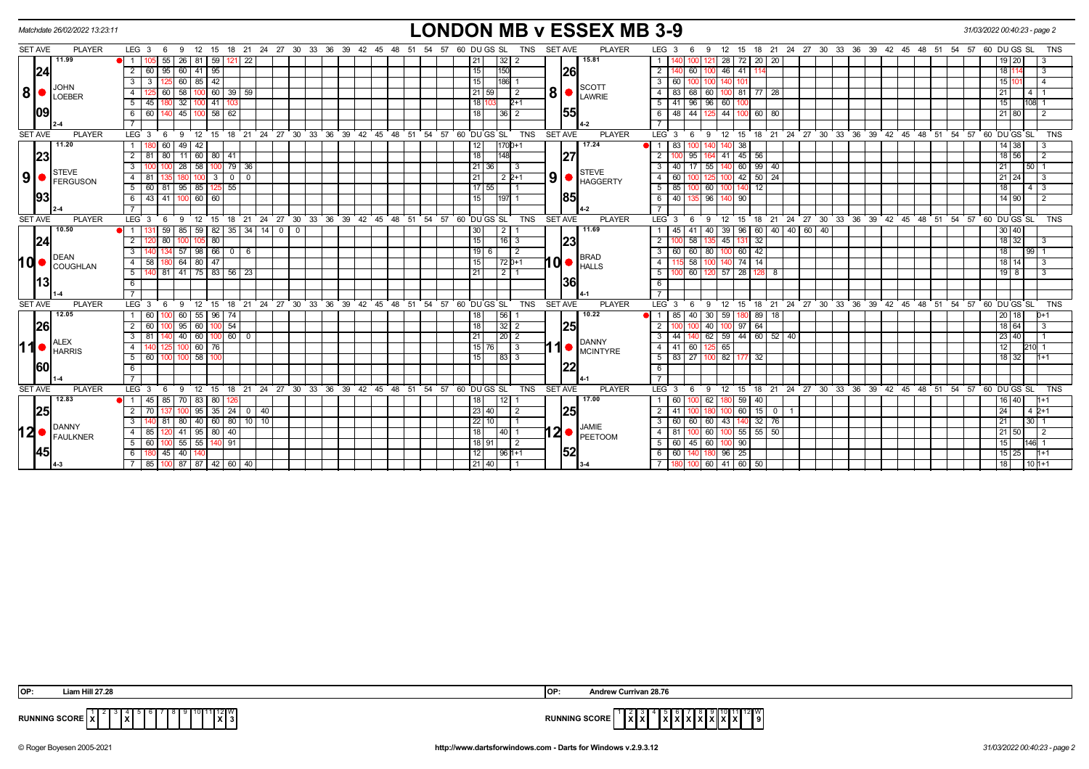|                | Matchdate 26/02/2022 13:23:11 | <b>LONDON MB v ESSEX MB 3-9</b>                                                                                                                                                |                                 |                                                                                                        | 31/03/2022 00:40:23 - page 2    |
|----------------|-------------------------------|--------------------------------------------------------------------------------------------------------------------------------------------------------------------------------|---------------------------------|--------------------------------------------------------------------------------------------------------|---------------------------------|
| SET AVE        | <b>PLAYER</b>                 | LEG <sub>3</sub><br>15 18 21 24 27 30 33 36 39 42 45 48 51 54 57 60 DUGS SL<br>TNS<br>9<br>12<br>- 6                                                                           | <b>SET AVE</b><br><b>PLAYER</b> | 12 15 18 21 24 27 30 33 36 39 42 45 48 51 54 57 60 DUGS SL<br>LEG <sub>3</sub><br>- 9<br>-6            | <b>TNS</b>                      |
|                | 11.99                         | 55<br>59<br>26   81<br>22<br>21<br>32                                                                                                                                          | 15.81                           | 28 72 20 20<br>$\overline{1}$<br>121                                                                   |                                 |
| 24             |                               | 95<br>95<br>15<br>$60$   41<br>150<br>$\overline{2}$                                                                                                                           | 26                              | $\overline{2}$<br>46 41                                                                                | 18 <sup>1</sup>                 |
|                |                               | $60$ 85 42<br>15<br>186<br>3<br>3                                                                                                                                              |                                 | $\mathbf{3}$<br>60 I<br>100                                                                            |                                 |
| 8              | JOHN<br><b>ILOEBER</b>        | 60 39 59<br>58<br>21   59 <br>$\overline{4}$<br>60<br>2                                                                                                                        | <b>SCOTT</b><br>8<br>LAWRIE     | $\overline{4}$<br>83<br>60<br>81 77<br>28                                                              | 4T<br>21                        |
|                |                               | $41$   10<br>$5 \mid 45$<br>32<br>18 F<br>$2+1$                                                                                                                                |                                 | 5<br>41 96 96<br>60 100                                                                                | $108$ 1<br>15                   |
| 109            |                               | $58 \mid 62$<br>6<br>45 I<br>18<br>l 60<br>36 <br>2                                                                                                                            | 55                              | 6<br>48   44<br>44<br>$100$ 60<br>80                                                                   | 21   80<br>- 2                  |
|                |                               |                                                                                                                                                                                |                                 |                                                                                                        |                                 |
| <b>SET AVE</b> | <b>PLAYER</b>                 | 15 18 21 24 27 30 33 36 39 42 45 48 51 54 57 60 DU GS SL<br>TNS<br>LEG 3<br>- 6<br>9 12                                                                                        | <b>PLAYER</b><br><b>SET AVE</b> | $LEG_3$<br>12 15 18 21 24 27 30 33 36 39 42 45 48 51 54 57 60 DUGS SL<br>- 6<br>- 9                    | <b>TNS</b>                      |
|                | 11.20                         | 60<br>$49 \mid 42$<br>$1700+1$<br>12<br>1                                                                                                                                      | 17.24                           | 83<br>$\bullet$ 1<br>38                                                                                | $14 \overline{)}38$<br>-3       |
| 23             |                               | $2 \mid 81$<br>80<br>$11 \mid 60 \mid 80 \mid 41$<br>18<br>148                                                                                                                 | 27                              | $\overline{2}$<br>$45 \mid 56$<br>41                                                                   | 18 56<br>$\overline{2}$         |
|                | STEVE                         | 100 79 36<br>58<br>36<br>3<br>28<br>21<br>-3                                                                                                                                   | <b>STEVE</b>                    | $17$   55<br>99<br>$\overline{\mathbf{3}}$<br>60<br>40 l<br>40 l                                       | 50 <sub>1</sub><br>21           |
| ا9ا            | <b>FERGUSON</b>               | 3000<br>21<br>$122+1$<br>4 81                                                                                                                                                  | 9 <sub>l</sub><br>HAGGERTY      | $42$ 50 24<br>$\overline{4}$<br>60<br>125                                                              | 21 24<br>l 3                    |
|                |                               | 5 60<br>81 95 85<br>55<br>17<br>  55  <br>125 I                                                                                                                                |                                 | 51<br>60<br>12<br>85                                                                                   | 18  <br>$4 \mid 3$              |
| 93             |                               | 6 43 41 100 60 60<br>15<br>11971                                                                                                                                               | 85                              | 6 40 135 96<br>140 90                                                                                  | $14$ 90<br>$\overline{2}$       |
|                |                               |                                                                                                                                                                                |                                 | $\overline{7}$                                                                                         |                                 |
| <b>SET AVE</b> | <b>PLAYER</b>                 | 21 24 27 30 33 36 39 42 45 48 51 54 57 60 DUGS SL<br>LEG <sub>3</sub><br>ີ 12<br>TNS<br>15<br>6<br>9<br>18                                                                     | SET AVE<br><b>PLAYER</b>        | 18 21 24 27 30 33 36 39 42 45 48 51 54 57 60 DUGS SL<br>LEG <sup>3</sup><br>12<br>15<br>6<br>- 9       | <b>TNS</b>                      |
|                | 10.50                         | $82$ 35 34<br>59<br>85<br>$\sqrt{59}$<br> 14 <br>2 <sup>1</sup><br>- 0<br>30                                                                                                   | 11.69                           | 40   40   60<br>40<br>40<br>39 96 60                                                                   | 30 40                           |
| 24             |                               | 80<br>80<br>15<br>$\overline{2}$<br>$\overline{16}$ 3                                                                                                                          | 23                              | $\overline{2}$<br>45 131 32<br>58                                                                      | $18$ 32<br>l 3                  |
|                | <b>DEAN</b>                   | 66 0<br>19<br>3<br>57<br>l 98<br>- 6<br>6<br>$\overline{2}$                                                                                                                    | <b>BRAD</b>                     | $\overline{\mathbf{3}}$<br>$60 \mid 42$<br>60 60 80                                                    | 18<br>99 <sup>1</sup>           |
| <b>hd</b>      | COUGHLAN                      | 47<br>$64$ 80<br>$72 0+1$<br>$4 \overline{58}$<br>15<br>180 I                                                                                                                  | <b>d•</b><br><b>HALLS</b>       | 58<br>140 74 14<br>$\overline{4}$<br>100                                                               | 18 14                           |
|                |                               | 81 41 75 83 56 23<br>5<br>21<br>2                                                                                                                                              |                                 | 5<br>$57$ 28 128<br>60 I<br>8<br>120                                                                   | $19$ 8                          |
| l13            |                               | 6                                                                                                                                                                              | 36                              | 6                                                                                                      |                                 |
|                |                               |                                                                                                                                                                                |                                 | $\overline{7}$                                                                                         |                                 |
| <b>SET AVE</b> | <b>PLAYER</b>                 | 24 27 30<br>$39^{\circ}$<br><b>TNS</b><br>LEG <sub>3</sub><br>$^{\circ}$ 12<br>15<br>18<br>$^{\circ}$ 21<br>33<br>$36^\circ$<br>42 45 48 51<br>54<br>57 60 DU GS SL<br>9<br>-6 | <b>SET AVE</b><br><b>PLAYER</b> | $LEG^3$ 3<br>39 42 45<br>12<br>18<br>$^{\circ}$ 21<br>24 27 30 33 36<br>$48 \quad 51$<br>9<br>15<br>-6 | 54 57 60 DU GS SL<br><b>TNS</b> |
|                | 12.05                         | $96$   74<br>$60$   55  <br>56<br>60<br>18                                                                                                                                     | 10.22                           | $40$   30<br>59<br>808<br>85<br>18 I                                                                   | 20   18                         |
| 26             |                               | 54<br>32<br>18<br>2   60<br>95   60<br>2                                                                                                                                       | 25                              | 40<br>$97$ 64<br>$\overline{2}$                                                                        | 18 64                           |
|                | <b>ALEX</b>                   | $100$ 60 $\sqrt{0}$<br>$\overline{21}$<br> 20 2<br>3   81<br>40 60                                                                                                             | <b>DANNY</b>                    | $\overline{\mathbf{3}}$<br>140 62 59 44 60 52 40<br>44 I                                               | 23 40                           |
| 11             | <b>HARRIS</b>                 | 15<br>$\overline{60}$<br>$\overline{4}$<br>76<br>3<br>76                                                                                                                       | l 1<br><b>MCINTYRE</b>          | $-4$<br>65<br>41<br>60                                                                                 | 12                              |
|                |                               | $100$ $100$ $58$<br> 83 3<br>5 60<br>15                                                                                                                                        |                                 | 83 27 100 82 177 32<br>$5 \mid$                                                                        | 18 32<br>$1 + 1$                |
| 160            |                               | 6                                                                                                                                                                              | 22                              | 6                                                                                                      |                                 |
|                |                               | $\overline{7}$                                                                                                                                                                 |                                 | $\overline{7}$                                                                                         |                                 |
| <b>SET AVE</b> | <b>PLAYER</b>                 | LEG <sup>3</sup><br>15 18 21 24 27 30 33 36 39 42 45 48 51<br>54 57 60 DUGS SL<br>TNS<br>9 12<br>- 6                                                                           | <b>PLAYER</b><br><b>SET AVE</b> | $LEG_3$<br>12 15 18 21 24 27 30 33 36 39 42 45 48 51 54 57<br>- 6<br>- 9                               | 60 DU GS SL<br><b>TNS</b>       |
|                | 12.83                         | 85<br>1   45<br>70   83<br>80<br>12<br>18                                                                                                                                      | 17.00                           | 60<br>$00$ 62<br>$\vert$ 1 $\vert$<br>-59 I<br>40                                                      | 16   40  <br>$11 + 1$           |
| 25             |                               | $35 \mid 24 \mid 0 \mid 40$<br>23 40 <br>$2 \mid 70$<br>$100$ 95<br>$\overline{2}$<br>137                                                                                      | 25                              | $60$ 15<br>$\overline{2}$<br>$0$   1<br>41<br>180                                                      | 24 <br>$42+1$                   |
|                | DANNY                         | 80 40 60 80 10 10<br>81<br>22 10 <br>3                                                                                                                                         | JAMIE                           | 43 140 32<br>$\overline{3}$<br>60 60 60<br>76                                                          | 30 <sub>1</sub><br>21           |
|                | 12 <b>PANNY</b>               | 41   95   80   40<br>18<br>4 85<br> 40 1<br>120 I                                                                                                                              |                                 | 100 60<br>$100$ 55 55 50<br>4   81                                                                     | $\overline{2}$<br>  21   50     |
|                |                               | $55 \mid 55$<br>140 91<br>18 91<br>$5 \mid 60$<br>2<br>100 I                                                                                                                   |                                 | 5   60   45   60<br>90                                                                                 | 146 1<br>15                     |
| 45             |                               | 45 40 140<br>12<br>$1961+1$<br>61                                                                                                                                              | 52                              | 6 6 6 140 180 96 25                                                                                    | $1 + 1$<br>  15   25            |
|                |                               | 100 87 87 42 60 40<br>21   40<br>7 85                                                                                                                                          |                                 | 7<br>$100 \ 60 \ 41 \ 60 \ 50$                                                                         | $101+1$<br> 18                  |

| IOP: | ı Hill 27.28                                       | <b>OP</b>              | Andrew Currivan 28.76                                   |
|------|----------------------------------------------------|------------------------|---------------------------------------------------------|
|      | 10 11 12 W<br>RUNNING SCORE   X<br>l x l<br>.<br>. | <b>RUNNING SCORE I</b> | 10 11 12 W<br>$\ x\ $<br>$\sim$<br>. <i>.</i><br>.<br>. |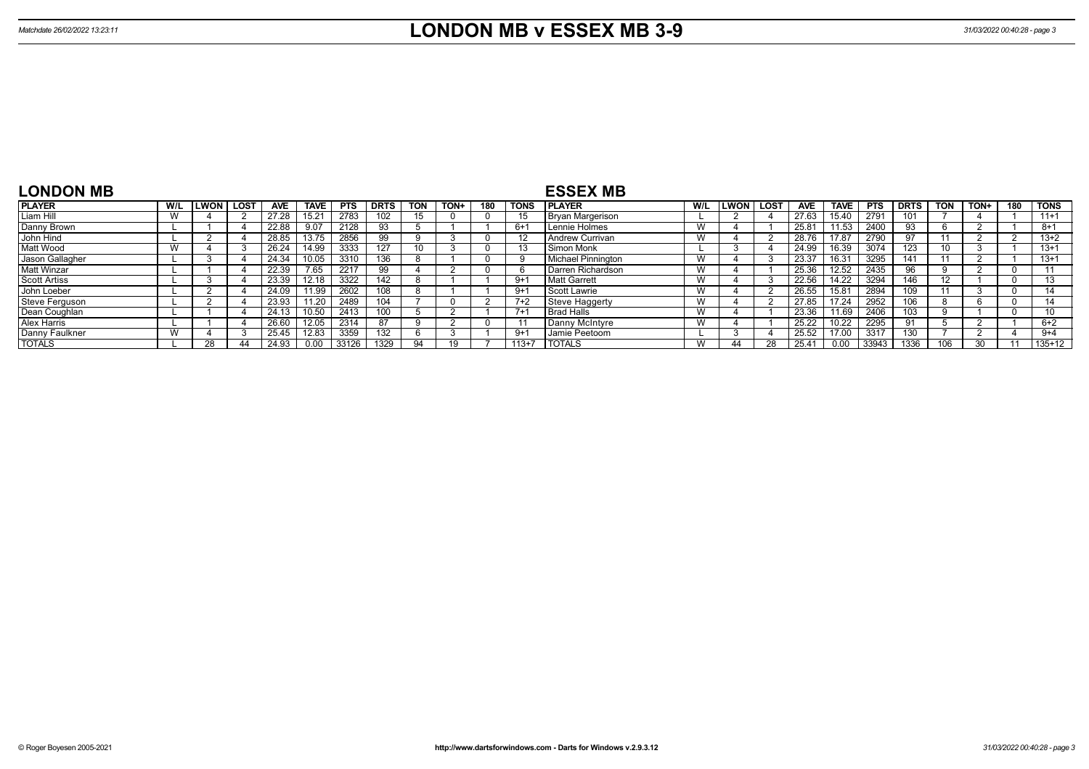| <b>LONDON MB</b>    |     |             |             |            |                   |            |             |            |      |     |             | <b>ESSEX MB</b>        |     |               |      |            |             |             |             |            |      |          |             |
|---------------------|-----|-------------|-------------|------------|-------------------|------------|-------------|------------|------|-----|-------------|------------------------|-----|---------------|------|------------|-------------|-------------|-------------|------------|------|----------|-------------|
| <b>PLAYER</b>       | W/L | <b>LWON</b> | <b>LOST</b> | <b>AVE</b> | TAVE              | <b>PTS</b> | <b>DRTS</b> | <b>TON</b> | TON+ | 180 | <b>TONS</b> | <b>I PLAYER</b>        | W/L | <b>LWON</b> I | LOST | <b>AVE</b> | <b>TAVE</b> | <b>PTS</b>  | <b>DRTS</b> | <b>TON</b> | TON+ | 180      | <b>TONS</b> |
| Liam Hill           |     |             |             | 27.28      | 15.2 <sup>4</sup> | 2783       | 102         |            |      |     |             | Bryan Margerison       |     |               |      | 27.63      | 15.40       | 2791        | 101         |            |      |          | $11+1$      |
| Danny Brown         |     |             |             | 22.88      | 9.07              | 2128       | 93          |            |      |     | $6+1$       | Lennie Holmes          |     |               |      | 25.81      | 11.53       | <b>2400</b> | 93          |            |      |          | $8+1$       |
| John Hind           |     |             |             | 28.85      | 13.75             | 2856       | 99          |            |      |     |             | <b>Andrew Currivan</b> |     |               |      | 28.76      | 17.87       | 2790        | 97          |            |      |          | $13+2$      |
| Matt Wood           |     |             |             | 26.24      | 14.99             | 3333       | 127         | 10         |      |     |             | Simon Monk             |     |               |      | 24.99      | .6.39       | 3074        | 123         | 10         |      |          | $13+1$      |
| Jason Gallagher     |     |             |             | 24.34      | 0.05              | 3310       | 136         |            |      |     |             | Michael Pinnington     |     |               |      | 23.37      | 6.31        | 3295        | 141         |            |      |          | $13+1$      |
| <b>Matt Winzar</b>  |     |             |             | 22.39      | $7.\overline{65}$ | 2217       | 99          |            |      |     |             | Darren Richardson      |     |               |      | 25.36      | 12.52       | 2435        | 96          |            |      | -0       |             |
| <b>Scott Artiss</b> |     |             |             | 23.39      | 12.18             | 3322       | 142         |            |      |     | $9 + 1$     | Matt Garrett           |     |               |      | 22.56      | 14.22       | 3294        | 146         |            |      | $\Omega$ |             |
| John Loeber         |     |             |             | 24.09      | 11.99             | 2602       | 108         |            |      |     | $9+1$       | Scott Lawrie           |     |               |      | 26.55      | 15.81       | 2894        | 109         |            |      | $\Omega$ |             |
| Steve Ferguson      |     |             |             | 23.93      | 11.20             | 2489       | 104         |            |      |     | $7+2$       | <b>Steve Haggerty</b>  |     |               |      | 27.85      | 17.24       | 2952        | 106         |            |      | $\Omega$ |             |
| Dean Coughlan       |     |             |             | 24.13      | 10.50             | 2413       | 100         |            |      |     | $7+$        | <b>Brad Halls</b>      |     |               |      | 23.36      | '1.69       | 2406        | 103         |            |      | $\Omega$ |             |
| Alex Harris         |     |             |             | 26.60      | 12.05             | 2314       | 87          |            |      |     |             | Danny McIntyre         |     |               |      | 25.22      | 10.22       | 2295        | 91          |            |      |          | $6+2$       |
| Danny Faulkner      |     |             |             | 25.45      | 12.83             | 3359       | 132         |            |      |     | $9+1$       | Jamie Peetoom          |     |               |      | 25.52      | 17.00       | 3317        | 130         |            |      |          | $9+4$       |
| <b>TOTALS</b>       |     | 28          |             | 24.93      | 0.00              | 33126      | 1329        |            |      |     | $113+7$     | <b>TOTALS</b>          |     |               | 28   | 25.41      | 0.00        | 33943       | 1336        | 106        | ٩Û   |          | $135+12$    |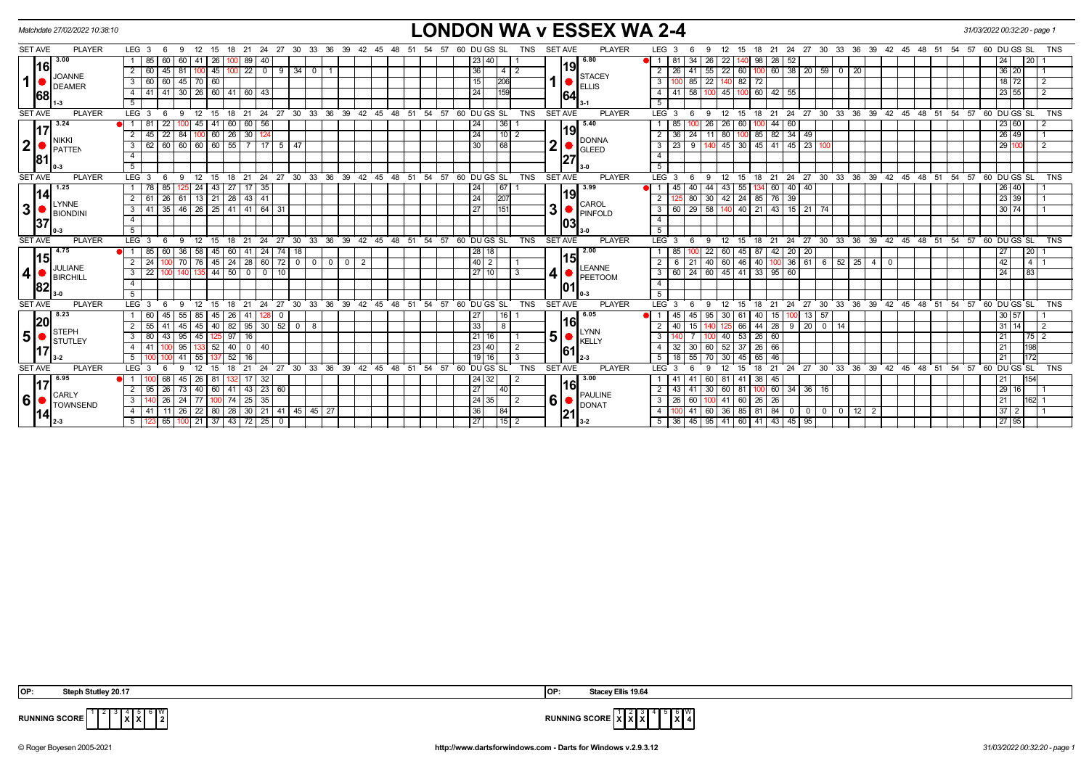| Matchdate 27/02/2022 10:38:10     |                                                                                     |                                                                                                   | <b>LONDON WA v ESSEX WA 2-4</b>                                                                                                                        | 31/03/2022 00:32:20 - page 1    |
|-----------------------------------|-------------------------------------------------------------------------------------|---------------------------------------------------------------------------------------------------|--------------------------------------------------------------------------------------------------------------------------------------------------------|---------------------------------|
| <b>SET AVE</b><br><b>PLAYER</b>   | LEG 3<br>24<br>30<br>12<br>18<br>-21<br>-27<br>$6\overline{6}$<br>- 15              | 33 36<br>39<br>57 60 DU GS SL<br>42 45<br>-48<br>TNS<br>-51<br>- 54                               | <b>SET AVE</b><br><b>PLAYER</b><br>LEG <sub>3</sub><br>- 27<br>30 33<br>36<br>39<br>-21<br>24<br>42 45<br>48<br>-51<br>- 54<br>-9<br>15<br>18          | 60 DU GS SL<br><b>TNS</b><br>57 |
| 3.00                              | 60<br>60<br>89<br>85<br>26                                                          |                                                                                                   | 6.80<br>-81<br>34<br>22<br>52<br>-26<br>98<br>28                                                                                                       | l 20 l<br>24                    |
| <u> 16 </u><br>JOANNE             | $22 \mid 0 \mid$<br>  45   100  <br>81<br>9<br>$34$ 0<br>$\overline{2}$<br>60<br>45 | 36<br>4                                                                                           | 19<br>$100$ 60 38 20 59 0<br>$55$   22<br>2<br>60  <br>20<br>26<br>41<br><b>STACEY</b>                                                                 | 36 20                           |
| 1<br>DEAMER                       | 45 70 60<br>$\mathbf{3}$<br>60<br>60                                                | <b>206</b>                                                                                        | 85<br>82<br>22<br>3 <sup>1</sup><br>-72<br><b>ELLIS</b>                                                                                                | 2<br>18 72                      |
| 68                                | 30 26 60 41 60 43<br>$\overline{4}$<br>41<br>l 41 I                                 |                                                                                                   | 58<br>100 60 42 55<br>$100 \t 45$<br>4 I<br>-41<br>164                                                                                                 | $23 \mid 55$<br>$\overline{2}$  |
|                                   | 5                                                                                   |                                                                                                   | $5^{\circ}$                                                                                                                                            |                                 |
| <b>PLAYER</b><br><b>SET AVE</b>   | LEG <sub>3</sub><br>9<br>- 6                                                        | 12 15 18 21 24 27 30 33 36 39 42 45 48 51 54 57 60 DUGSSL<br><b>TNS</b>                           | 15 18 21 24 27 30 33 36 39 42 45 48 51 54 57 60 DUGS SL<br><b>SET AVE</b><br><b>PLAYER</b><br>12<br>LEG <sup>3</sup><br>6<br>9                         | <b>TNS</b>                      |
| 3.24                              | 45<br>$141$ 60<br>60 56<br>81<br>22                                                 | 24<br>36                                                                                          | $60$ 100 44 60<br>5.40<br>26<br>26<br>85                                                                                                               | 23 60                           |
| NIKKI                             | $\sqrt{26}$<br>84<br>$30 \mid 12$<br>$\overline{2}$<br>45<br>22<br>60 <sub>1</sub>  | $110$ 2<br>24                                                                                     | 19<br>85 82 34 49<br>24<br>2 <sup>1</sup><br>11 80<br>100 I<br><b>DONNA</b>                                                                            | 26 49                           |
| $\mathbf{2}$<br>PATTEN            | 60 60 60 55<br>$\overline{3}$<br>62<br>7 17 5 47<br>60                              | 68                                                                                                | $\overline{2}$<br>9<br>140 45 30 45 41 45 23 100<br>23<br><b>GLEED</b>                                                                                 | 29<br>$\overline{2}$            |
| 81                                | $\overline{4}$                                                                      |                                                                                                   | $\overline{4}$<br>27                                                                                                                                   |                                 |
|                                   | 5 <sup>7</sup>                                                                      |                                                                                                   | 5 <sup>5</sup>                                                                                                                                         |                                 |
| <b>SET AVE</b><br><b>PLAYER</b>   | LEG <sub>3</sub><br>18 21<br>12<br>15<br>- 6                                        | 24 27 30 33 36 39 42 45 48 51 54 57 60 DUGS SL<br><b>TNS</b>                                      | <b>SET AVE</b><br><b>PLAYER</b><br>15 18 21 24 27 30 33 36 39 42 45 48 51 54 57 60 DUGS SL<br>LEG <sub>3</sub><br>9<br>12<br>-6                        | <b>TNS</b>                      |
| 1.25                              | $43 \mid 27$<br>$17 \mid 35$<br>24<br>85                                            | 67                                                                                                | 3.99<br>40<br>55<br>40<br>40<br>44<br>60 <sub>1</sub><br>$\overline{1}$<br>45<br>-43                                                                   | 26 40                           |
| <u> 14 </u><br>LYNNE              | 61   13   21   28  <br>2<br>$43 \mid 41$<br>-61<br>-26                              | 207<br>24                                                                                         | 19 <br>30 42 24 85 76 39<br>$\overline{2}$<br>80<br>CAROL                                                                                              | 23 39                           |
| 3 <sup>1</sup><br><b>BIONDINI</b> | 46   26   25   41   41   64   31<br>3 I<br>41<br> 35                                | 151<br>27                                                                                         | 3<br>  29   58   140   40   21   43   15   21   74<br>3   60  <br>PINFOLD                                                                              | 30 74                           |
| 37                                | $\overline{4}$                                                                      |                                                                                                   | $\overline{4}$<br>103                                                                                                                                  |                                 |
|                                   | 5                                                                                   |                                                                                                   | 5                                                                                                                                                      |                                 |
| <b>SET AVE</b><br><b>PLAYER</b>   | LEG <sub>3</sub><br>24<br>27<br>30<br>33<br>12<br>18<br>21<br>15                    | $36^\circ$<br>ີ 39<br>$42 \quad 45$<br>$^{\degree}$ 48<br>51 54<br>57<br>60 DUGS SL<br><b>TNS</b> | <b>SET AVE</b><br><b>PLAYER</b><br>30 33 36 39 42 45 48 51 54 57 60 DUGS SL<br>LEG <sup>'</sup><br>21<br>24<br>$\frac{1}{27}$<br>-12<br>15<br>18<br>-9 | <b>TNS</b>                      |
| 4.75                              | 36<br>58<br>60<br>74<br>18                                                          | 28 18                                                                                             | 2.00<br>20 <sub>1</sub><br>45<br>87<br>42<br>20<br>15                                                                                                  | $\sqrt{20}$<br>27               |
| <u> 1151</u><br>JULIANE           | 72<br>24<br>28 60<br>$0$ 0<br>$\overline{2}$<br>45 l                                | $40$   $2$<br>$\overline{0}$<br>$\overline{2}$<br>$\overline{\mathbf{0}}$                         | 46<br>$36$ 61 6 52 $25$ 4<br>40<br>2 <sup>1</sup><br>21<br>40 60<br>$\Omega$<br><b>LEANNE</b>                                                          | 42<br>$4 \mid 1$                |
| 4 <br>BIRCHILL                    | $44$ 50<br>3<br>22<br>$^{\circ}$<br>10<br>I O                                       | 27 10 <br>3                                                                                       | 24<br>$41 \mid 33 \mid 95 \mid$<br>$3 \mid 60 \mid$<br>60 45<br>60<br>PEETOOM                                                                          | 24<br> 83                       |
| 82                                | $\overline{4}$                                                                      |                                                                                                   | $\overline{4}$<br>101                                                                                                                                  |                                 |
|                                   | 5                                                                                   |                                                                                                   | 5                                                                                                                                                      |                                 |
| <b>SET AVE</b><br><b>PLAYER</b>   | LEG <sub>3</sub><br>12<br>18<br>$^{\circ}$ 21<br>$24$ 27<br>- 6<br>9<br>15          | 30 33 36 39 42 45 48<br>51 54 57 60 DU GS SL<br><b>TNS</b>                                        | <b>SET AVE</b><br><b>PLAYER</b><br>LEG 3<br>18 21 24 27 30 33 36 39 42 45 48 51 54 57 60 DUGS SL<br>12<br>15<br>6<br>9                                 | TNS                             |
| 8.23<br> 20                       | $55$   85  <br>45   26<br>$\overline{0}$<br>60<br>41 I<br>45                        | 16  <br>  27                                                                                      | $40$   15 <br>$13 \mid 57$<br>6.05<br>45<br>95<br>30<br>61<br>45.<br>100<br>l16l                                                                       | $30 \ 57$                       |
| <b>STEPH</b>                      | $40 \mid 82 \mid$<br>$95 \mid 30 \mid 52 \mid$<br>45<br>55<br>$0$   8<br>45         | 33<br>8                                                                                           | 66<br>2 <sup>1</sup><br>$44 \mid 28 \mid$<br>$9$   20   0   14<br>15<br><b>LYNN</b>                                                                    | $31 \mid 14$<br>$\overline{2}$  |
| $5\phantom{.0}$<br>STUTLEY        | 125 97<br>95<br>16<br>3<br>80<br>45  <br>$-43$                                      | $21$ 16                                                                                           | 5<br>$53$ 26 60<br>$\mathbf{3}$<br>40<br><b>KELLY</b>                                                                                                  | 21<br>$75$ 2                    |
|                                   | 95<br>$52$ 40<br>$0 \mid 40$<br>4<br>41                                             | 23   40  <br>$\overline{2}$                                                                       | 30 <sup>1</sup><br>60 52<br>$37 \mid 26 \mid 66$<br>4 I<br>32<br>161                                                                                   | 198<br>21                       |
|                                   | $5-1$<br>$7\overline{52}$<br>41<br>55<br>16                                         | $19$ 16<br>-3                                                                                     | 55 <br>$-45$<br>5   18  <br>70 30<br>65   46                                                                                                           | 172<br>21                       |
| <b>SET AVE</b><br><b>PLAYER</b>   | LEG <sub>3</sub><br>12<br>18<br>21<br>24 27<br>-15                                  | 30 33 36 39 42 45 48<br>51<br>54<br>57<br>60 DU GS SL<br><b>TNS</b>                               | <b>SET AVE</b><br><b>PLAYER</b><br>$24$ 27 30 33 36 39 42 45 48 51<br>LEG <sup>'</sup><br>21<br>54<br>15<br>18<br>Q                                    | 57<br>60 DU GS SL<br><b>TNS</b> |
| 6.95                              | 26<br>17 32<br>$\mathbf{1}$<br>45 I<br>-68<br>-81<br>132                            | 24 32                                                                                             | 3.00<br>41 38 45<br>60   81<br>41<br>1161                                                                                                              | 154<br>21                       |
| <b>CARLY</b>                      | $95 \mid 26$<br>73<br>40 60 41 43 23 60                                             | 27<br>$ 40\rangle$                                                                                | $100$ 60 34 36 16<br>2<br>$30$ 60<br>81<br>41<br>43<br><b>PAULINE</b>                                                                                  | 29<br>16                        |
| 6<br><b>TOWNSEND</b>              | 3 <sup>7</sup><br>$24$ 77<br>100 74 25 35<br>140 26                                 | $24 \mid 35 \mid$<br>$\overline{2}$                                                               | 6<br>$3 \mid 26$<br>60<br>100 41 60 26 26<br><b>DONAT</b>                                                                                              | 21<br>162 1                     |
| 141                               | 26 22 80 28<br>30 21 41 45 45 27<br>4<br>41<br>l 11 l                               | 36<br>84                                                                                          | 85 81 84 0<br>4 <sup>1</sup><br>41<br>60 36<br>0 0 0 12 2                                                                                              | 37<br>$\mathbf{2}$              |
|                                   | 100 21 37 43 72 25 0<br>5<br>365                                                    | 15 2<br> 27                                                                                       | 5   36   45   95   41   60   41   43   45   95  <br>$3 - 2$                                                                                            | 27 95                           |

**X X**  $6 \frac{W}{2}$ 



**RUNNING SCORE**  $\begin{bmatrix} 1 \\ 1 \end{bmatrix}$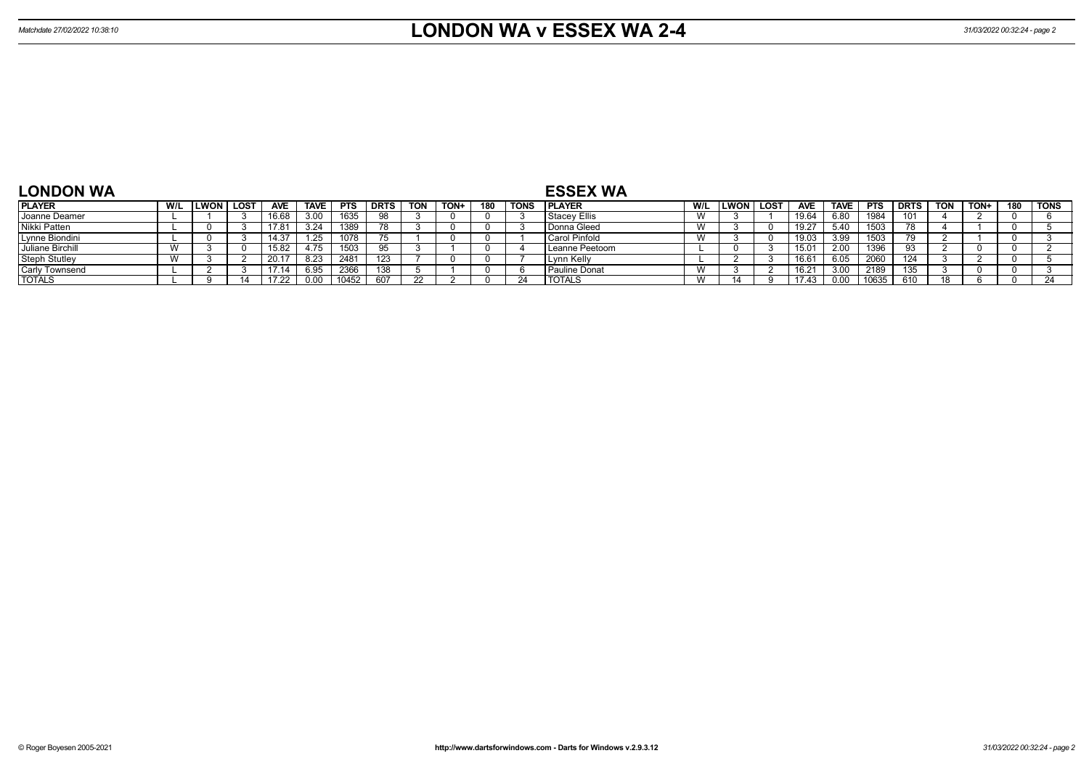| <b>LONDON WA</b>     |           |      |      |            |             |            |             |     |      |     |             | <b>ESSEX WA</b>     |           |                  |                |             |            |             |            |             |     |             |
|----------------------|-----------|------|------|------------|-------------|------------|-------------|-----|------|-----|-------------|---------------------|-----------|------------------|----------------|-------------|------------|-------------|------------|-------------|-----|-------------|
| <b>PLAYER</b>        | W/L       | LWON | LOST | <b>AVE</b> | <b>TAVE</b> | <b>PTS</b> | <b>DRTS</b> | TON | TON+ | 180 | <b>TONS</b> | <b>IPLAYER</b>      | W/L       | <b>LWON LOST</b> | <b>AVE</b>     | <b>TAVE</b> | <b>PTS</b> | <b>DRTS</b> | <b>TON</b> | <b>TON+</b> | 180 | <b>TONS</b> |
| Joanne Deamer        |           |      |      | .6.68      | 3.00        | 1635       |             |     |      |     |             | <b>Stacey Ellis</b> | <b>VV</b> |                  | 19.64          | 6.80        | 1984       | 101         |            |             |     |             |
| Nikki Patten         |           |      |      |            | 3.24        | 1389       | 70          |     |      |     |             | Donna Gleed         | <b>VV</b> |                  | 19.27          | 5.40        | 1503       | 78          |            |             |     |             |
| Lynne Biondini       |           |      |      | 14.37      | ن ے. ا      | 1078       |             |     |      |     |             | l Carol Pinfold     | V V       |                  | 19.03          | 3. QQ       | 1503       | 79          |            |             |     |             |
| Juliane Birchill     |           |      |      | 15.82      | 4.75        | 1503       |             |     |      |     |             | Leanne Peetoom      |           |                  | 15.01          |             | 1396       | ดจ          |            |             |     |             |
| <b>Steph Stutley</b> | <b>VV</b> |      |      |            | 8.23        | 2481       | 123         |     |      |     |             | Lynn Kelly          |           |                  | 16.6           |             | 2060       | 124         |            |             |     |             |
| Carly Townsend       |           |      |      |            | 6.95        | 2366       | 138         |     |      |     |             | Pauline Donat       | . V V     |                  | $16.2^{\circ}$ |             | 2189       | 135         |            |             |     |             |
| <b>TOTALS</b>        |           |      |      | 17 22      | 0.00        | 10452      | 607         |     |      |     | -24         | <b>TOTALS</b>       |           |                  | 174:           |             | 10635      |             |            |             |     |             |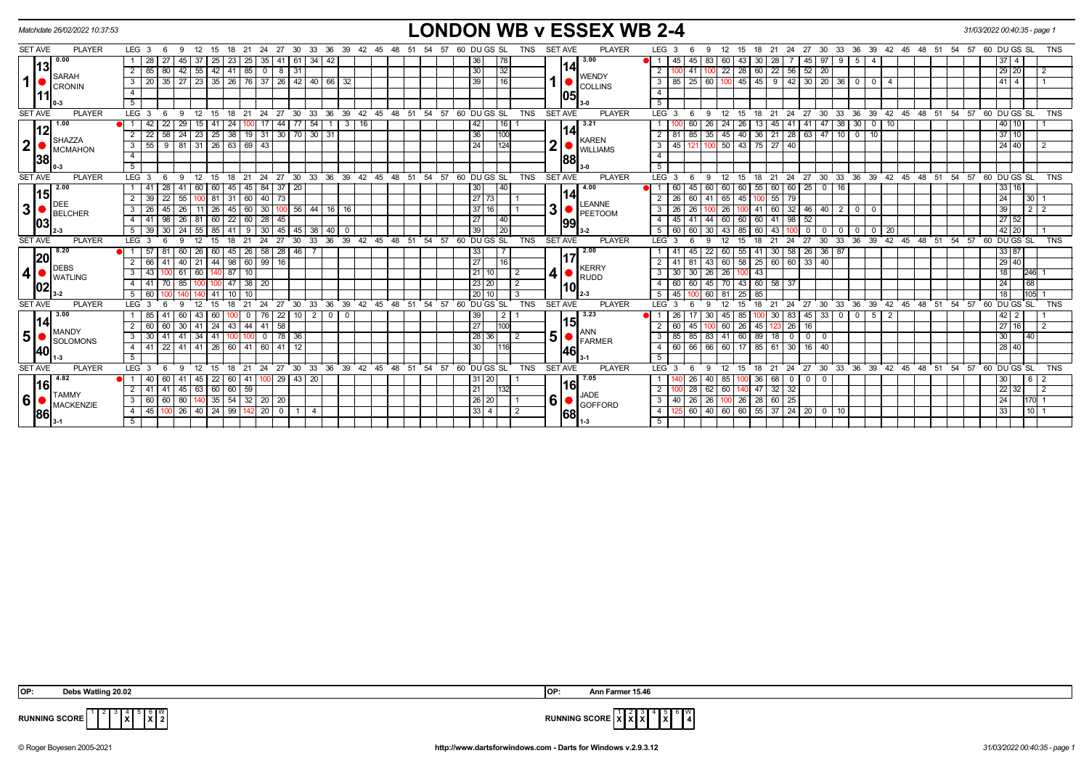| Matchdate 26/02/2022 10:37:53                     |               |                                              |                  |                              |      |                        |                      |                   |                          |                 |                                                    |             |              |    |       |                   |                     |    |                 |                 |               |                |                |     | <b>LONDON WB v ESSEX WB 2-4</b> |                           |                  |                      |                 |                   |     |                     |                 |                                                  |              |                   |                |                                              |                |                                                      |    |       | 31/03/2022 00:40:35 - page 1  |                                                               |                |
|---------------------------------------------------|---------------|----------------------------------------------|------------------|------------------------------|------|------------------------|----------------------|-------------------|--------------------------|-----------------|----------------------------------------------------|-------------|--------------|----|-------|-------------------|---------------------|----|-----------------|-----------------|---------------|----------------|----------------|-----|---------------------------------|---------------------------|------------------|----------------------|-----------------|-------------------|-----|---------------------|-----------------|--------------------------------------------------|--------------|-------------------|----------------|----------------------------------------------|----------------|------------------------------------------------------|----|-------|-------------------------------|---------------------------------------------------------------|----------------|
| <b>SET AVE</b>                                    | <b>PLAYER</b> | LEG <sub>3</sub>                             | - 6              | 12<br>9                      | 15   | 18                     |                      |                   |                          |                 | 21 24 27 30 33 36 39 42 45                         |             |              |    | 48    | 51                | 54                  | 57 |                 | 60 DU GS SL     |               | TNS            | <b>SET AVE</b> |     | <b>PLAYER</b>                   |                           | LEG <sub>3</sub> |                      | -9              |                   |     |                     |                 |                                                  |              |                   |                |                                              |                | 12 15 18 21 24 27 30 33 36 39 42 45 48 51            | 54 |       | 57 60 DU GS SL                |                                                               | <b>TNS</b>     |
| 0.00                                              |               | 28                                           | 27               | $45 \mid 37$                 |      | $25 \mid 23 \mid$      |                      | $25 \mid 35 \mid$ |                          | 41 61 34        | 42                                                 |             |              |    |       |                   |                     |    | 36              |                 | <b>178</b>    |                |                |     | 3.00                            | ● 1 1                     | 45               | 45                   | 83              | 60 43             |     | $30 \mid 28$        |                 | 45                                               | $97$ 9       |                   | 5              |                                              |                |                                                      |    |       | $37 \quad 4$                  |                                                               |                |
| l13l                                              |               | $\overline{2}$<br>85 80                      |                  | 42 55 42 41 85 0             |      |                        |                      |                   |                          | 8 31            |                                                    |             |              |    |       |                   |                     |    | 30              |                 | 32            |                |                | 14  |                                 | $\overline{2}$            |                  | 41   100             |                 | $22 \mid 28 \mid$ |     |                     |                 | 60   22   56   52   20                           |              |                   |                |                                              |                |                                                      |    |       | 29 20                         |                                                               | $\overline{2}$ |
| <b>SARAH</b><br>1  <br><b>CRONIN</b>              |               | $\overline{\mathbf{3}}$<br>20 I              | 35               |                              |      |                        |                      |                   |                          |                 | 27   23   35   26   76   37   26   42   40   66    | 32          |              |    |       |                   |                     |    | 39              |                 | l 16          |                |                |     | <b>WENDY</b><br><b>COLLINS</b>  | 3 I                       | 85               | $125$ 60             |                 |                   |     |                     |                 | 100 45 45 9 42 30 20 36                          |              |                   | $\overline{0}$ | $\Omega$                                     |                |                                                      |    |       | $41 \quad 4$                  |                                                               |                |
|                                                   |               | $\overline{4}$                               |                  |                              |      |                        |                      |                   |                          |                 |                                                    |             |              |    |       |                   |                     |    |                 |                 |               |                |                | 105 |                                 | $\overline{4}$            |                  |                      |                 |                   |     |                     |                 |                                                  |              |                   |                |                                              |                |                                                      |    |       |                               |                                                               |                |
|                                                   |               | $\overline{5}$                               |                  |                              |      |                        |                      |                   |                          |                 |                                                    |             |              |    |       |                   |                     |    |                 |                 |               |                |                |     |                                 | 5                         |                  |                      |                 |                   |     |                     |                 |                                                  |              |                   |                |                                              |                |                                                      |    |       |                               |                                                               |                |
| <b>SET AVE</b>                                    | <b>PLAYER</b> | LEG <sub>3</sub>                             | - 6              | 9<br>12                      | 15   | 18                     | 21                   | 24                | - 27                     | 30              | 36<br>33                                           |             |              |    |       | 39 42 45 48 51 54 |                     | 57 |                 | 60 DUGS SL      |               | <b>TNS</b>     | <b>SET AVE</b> |     | <b>PLAYER</b>                   |                           | $LEG^3$ 3        | 6                    | -9              | $12 \overline{ }$ | 15  | -21<br>18           | 24              | 27                                               | $30^{\circ}$ | 33                | ີ 36           |                                              |                | 39 42 45 48 51                                       |    |       | $\frac{1}{54}$ 57 60 DU GS SL |                                                               | <b>TNS</b>     |
| 1.00                                              |               |                                              | 22               | 29                           | 41   | 24                     |                      |                   | 44                       |                 | 54                                                 | 3           | 16           |    |       |                   |                     |    |                 | 42              |               |                |                |     | 3.21                            |                           |                  |                      |                 |                   | 26  |                     | 41<br>45        |                                                  |              | 38                | 30             |                                              | 10             |                                                      |    |       | 40 10                         |                                                               |                |
| 12                                                |               | $\overline{2}$<br>$\overline{22}$            | 58               | $24 \mid 23$                 |      | 25                     | $38$   19   31       |                   |                          |                 | 30 70 30 31                                        |             |              |    |       |                   |                     |    | 36              |                 | 100           |                |                | 14  |                                 |                           | $2 \mid 81$      | 85                   | 35              | 45                | 40  | $36$   21           | $\overline{28}$ |                                                  | 63 47 10     |                   | $\overline{0}$ | 10                                           |                |                                                      |    |       | 37 10                         |                                                               |                |
| <b>SHAZZA</b><br>2 <sup>1</sup><br><b>MCMAHON</b> |               | 55<br>3 <sup>1</sup>                         | 9                | $81$ 31 26 63 69 43          |      |                        |                      |                   |                          |                 |                                                    |             |              |    |       |                   |                     |    | 24              |                 | 1124          |                | $\mathbf 2$    |     | <b>KAREN</b><br><b>WILLIAMS</b> | 3                         | 45               |                      | 1100            | $50 \mid 43$      |     | $75$   27           | 40              |                                                  |              |                   |                |                                              |                |                                                      |    |       | 24 40                         |                                                               | $\overline{2}$ |
| 38                                                |               | $\overline{4}$                               |                  |                              |      |                        |                      |                   |                          |                 |                                                    |             |              |    |       |                   |                     |    |                 |                 |               |                |                | 88  |                                 | 4                         |                  |                      |                 |                   |     |                     |                 |                                                  |              |                   |                |                                              |                |                                                      |    |       |                               |                                                               |                |
|                                                   |               | 5                                            |                  |                              |      |                        |                      |                   |                          |                 |                                                    |             |              |    |       |                   |                     |    |                 |                 |               |                |                |     |                                 | 5 <sup>1</sup>            |                  |                      |                 |                   |     |                     |                 |                                                  |              |                   |                |                                              |                |                                                      |    |       |                               |                                                               |                |
| <b>SET AVE</b>                                    | <b>PLAYER</b> | LEG <sub>3</sub>                             | - 6              | 9<br>12                      | 15   | 18                     | 21                   |                   |                          |                 | 24 27 30 33 36 39 42 45 48 51 54 57 60 DUGS SL     |             |              |    |       |                   |                     |    |                 |                 |               | <b>TNS</b>     | <b>SET AVE</b> |     | <b>PLAYER</b>                   |                           | LEG <sub>3</sub> | 6                    | 9               | 12                | 15  |                     |                 |                                                  |              |                   |                |                                              |                | 18 21 24 27 30 33 36 39 42 45 48 51 54 57 60 DUGS SL |    |       |                               |                                                               | <b>TNS</b>     |
| 2.00                                              |               | 41                                           | 28               | -41<br>  60                  | 60 I | 45                     | $145 \mid 84$        |                   |                          | $37 \quad 20$   |                                                    |             |              |    |       |                   |                     |    | 30 <sup>1</sup> |                 | l 40          |                |                |     | 4.00                            |                           | 60               | 45 60                |                 | 60 60             |     |                     |                 | 55 60 60 25 0 16                                 |              |                   |                |                                              |                |                                                      |    |       | 33 16                         |                                                               |                |
| l15I<br>DEE                                       |               | $\overline{2}$<br>39 I                       | 22               | 55   100   81   31   60   40 |      |                        |                      |                   | 73                       |                 |                                                    |             |              |    |       |                   |                     |    |                 | 27 73           |               |                |                | 14  | <b>LEANNE</b>                   |                           | $2 \mid 26$      |                      | 60 41 65 45     |                   |     | $100$ 55            | 79              |                                                  |              |                   |                |                                              |                |                                                      |    |       | 24                            | 30                                                            |                |
| 3 <sup>1</sup><br>BELCHER                         |               | $\overline{\mathbf{3}}$<br>26                | 45               | 26                           | 26   |                        | $45 \mid 60 \mid 30$ |                   |                          |                 | 100 56 44 16 16                                    |             |              |    |       |                   |                     |    |                 | 37 16           |               |                | 3              |     | <b>PEETOOM</b>                  |                           | $3 \mid 26$      | 26                   |                 | 26                | 100 | $41$ 60             |                 | 32   46   40   2                                 |              |                   | $\overline{0}$ | $\overline{0}$                               |                |                                                      |    |       | 39                            | $\begin{array}{c c c c c} \hline 2 & 2 \\ \hline \end{array}$ |                |
| 03                                                |               | 4   41                                       | $-98$            | 26 81 60                     |      | $\overline{22}$        | 60 28                |                   | 45                       |                 |                                                    |             |              |    |       |                   |                     |    | 27              |                 | $ 40\rangle$  |                |                | 199 |                                 |                           | $4 \mid 45$      | 41                   | 144             | 60 60             |     |                     | $60$   41   98  | 52                                               |              |                   |                |                                              |                |                                                      |    |       | 27 52                         |                                                               |                |
|                                                   |               | $5 \overline{39} \overline{30}$              |                  | $24$ 55 85                   |      | 41                     |                      |                   |                          |                 | $9 \mid 30 \mid 45 \mid 45 \mid 38 \mid 40 \mid 0$ |             |              |    |       |                   |                     |    |                 | 39              | 120           |                |                |     | $3-2$                           |                           | 5   60           | 60   30   43   85    |                 |                   |     | $60 \mid 43$        |                 |                                                  | 0 1 0 1 0 1  |                   |                |                                              |                |                                                      |    |       | 42 20                         |                                                               | $\overline{1}$ |
| <b>SET AVE</b>                                    | <b>PLAYER</b> | LEG <sub>3</sub>                             | 6                | $\mathbf{Q}$<br>12           | 15   | 18                     | 21                   | 24                | 27                       | 30              | 36<br>33                                           | 39          |              |    |       |                   | $42$ 45 48 51 54 57 |    |                 | 60 DUGS SL      |               | <b>TNS</b>     | <b>SET AVE</b> |     | <b>PLAYER</b>                   |                           | $LEG^3$ 3        |                      | q               | 12                | 15  | 21<br>18            | 24              | 27                                               | 30           | 33                | 36             |                                              |                | 39 42 45 48 51 54 57                                 |    |       | 60 DU GS SL                   |                                                               | <b>TNS</b>     |
| 8.20                                              |               | $\bullet$ 1 57                               | -81              | 60   26                      | 60   |                        | 45   26   58         |                   | 28                       | $-46$           |                                                    |             |              |    |       |                   |                     |    | 33              |                 |               |                |                |     | 2.00                            |                           |                  | 45                   | 22              | 60 l              | 55  | $41 \overline{30}$  |                 | 58 26 36 87                                      |              |                   |                |                                              |                |                                                      |    |       | 33 87                         |                                                               |                |
| 20<br>DEBS                                        |               | $\overline{2}$<br>66                         | 41               | $40$   21                    |      | 44   98   60   99   16 |                      |                   |                          |                 |                                                    |             |              |    |       |                   |                     |    | 27              |                 | 16            |                |                |     | <b>KERRY</b>                    |                           |                  | 81                   | $\vert$ 43      |                   |     |                     |                 | 60 58 25 60 60 33 40                             |              |                   |                |                                              |                |                                                      |    |       | 29 40                         |                                                               |                |
| 4 <sup>1</sup><br><b>WATLING</b>                  |               | 3<br>43                                      |                  | $61$ 60                      |      | 140 87 10              |                      |                   |                          |                 |                                                    |             |              |    |       |                   |                     |    |                 | 121110          | l 2           |                | 4              |     | <b>RUDD</b>                     |                           | $3 \mid 30 \mid$ | 30 26 26             |                 |                   | 100 | 43                  |                 |                                                  |              |                   |                |                                              |                |                                                      |    |       | 18                            | 246                                                           |                |
| 02                                                |               | $\overline{4}$<br>41                         | 70               | 85   100                     |      | 47                     | $38$ 20              |                   |                          |                 |                                                    |             |              |    |       |                   |                     |    |                 | 23 20           |               | $\overline{2}$ |                | 10  |                                 | 4 I                       | 60               | 60                   | 45 70 43        |                   |     | $60$ 58             | 37              |                                                  |              |                   |                |                                              |                |                                                      |    |       | 24                            | 68                                                            |                |
|                                                   |               | 5<br>60                                      |                  |                              | 41   | 10 <sup>1</sup>        |                      |                   |                          |                 |                                                    |             |              |    |       |                   |                     |    |                 | $20$ 10         | $\mathcal{A}$ |                |                |     |                                 | 5 I                       | 45               |                      | 60              | $81 \ 25$         |     | 85                  |                 |                                                  |              |                   |                |                                              |                |                                                      |    |       | 18                            | 105                                                           |                |
| <b>SET AVE</b>                                    | <b>PLAYER</b> | LEG <sub>3</sub>                             |                  |                              |      |                        | 21                   | 24                | 27                       | 30              | 33<br>36                                           | 39          | $42^{\circ}$ | 45 | 48 51 |                   | 54                  | 57 |                 | 60 DU GS SL     |               | <b>TNS</b>     | <b>SET AVE</b> |     | <b>PLAYER</b>                   | <b>LEG</b>                |                  |                      |                 |                   | 15  | 18<br>21            | 24              | 27                                               | 30           | 33                | 36             | 39 42                                        | 45             | $48 \quad 51$                                        |    | 54 57 | 60 DU GS SL                   |                                                               | <b>TNS</b>     |
| 3.00                                              |               | 85                                           |                  | 43                           | 60   |                        |                      | 76                | $\overline{22}$          | 10 I            | 2<br>$\mathbf{0}$                                  | $\mathbf 0$ |              |    |       |                   |                     |    | 39              |                 | 2             |                |                |     | 3.23                            |                           | 26               |                      | 30              | 45                | 85  | 30                  | 83              | $-45$                                            |              | $\overline{33}$ 0 | $\overline{0}$ | 51                                           | $\overline{2}$ |                                                      |    |       | $42 \mid 2 \mid$              |                                                               |                |
| 114<br><b>MANDY</b>                               |               | $\overline{2}$<br>60 l                       | 60               | $30$   41                    |      | 24   43   44   41      |                      |                   | 58                       |                 |                                                    |             |              |    |       |                   |                     |    | 27              |                 | 1100I         |                |                | 15  | <b>ANN</b>                      |                           | 60               | 45                   |                 | 60 26             |     | 45   123            | 26              | 16                                               |              |                   |                |                                              |                |                                                      |    |       | 27 16                         |                                                               | $\overline{2}$ |
| 5 <sup>1</sup><br><b>SOLOMONS</b>                 |               | $\overline{\phantom{a}3}$<br>30 <sup>1</sup> | 41               | $41 \overline{)34}$          | 41   |                        |                      | $\mathbf 0$       | 78                       | 36              |                                                    |             |              |    |       |                   |                     |    |                 | 28 36           | $\sqrt{2}$    |                | 5              |     | <b>FARMER</b>                   | 3 I                       | 85               | 85                   | 83              | 41 60             |     | $89$   18           | $\overline{0}$  | $\overline{0}$                                   |              |                   |                |                                              |                |                                                      |    |       | 30                            | 40                                                            |                |
| <b>140</b>                                        |               | 4<br>41                                      | $\overline{22}$  | 41 41 26                     |      |                        | 60 41 60             |                   | 41                       | 12 <sup>2</sup> |                                                    |             |              |    |       |                   |                     |    |                 | 30 <sup>1</sup> | l116l         |                |                | 146 |                                 | 4 I                       | 60               | 66                   | $\overline{66}$ | 60 17             |     | $85 \mid 61$        | 30              |                                                  | $16$   $40$  |                   |                |                                              |                |                                                      |    |       | 28 40                         |                                                               |                |
|                                                   |               | 5                                            |                  |                              |      |                        |                      |                   |                          |                 |                                                    |             |              |    |       |                   |                     |    |                 |                 |               |                |                |     |                                 | 5                         |                  |                      |                 |                   |     |                     |                 |                                                  |              |                   |                |                                              |                |                                                      |    |       |                               |                                                               |                |
| <b>SET AVE</b>                                    | <b>PLAYER</b> | LEG <sub>3</sub>                             | - 6              | 12<br>$\mathbf{q}$           | 15   | 18                     | 21                   |                   |                          |                 | 24 27 30 33 36 39 42 45 48 51                      |             |              |    |       |                   | 54 57               |    |                 | 60 DU GS SL     |               | <b>TNS</b>     | <b>SET AVE</b> |     | <b>PLAYER</b>                   |                           | $LEG^3$ 3        | 6                    | 9               | 12                | 15  | $^{\circ}$ 21<br>18 | 24              | $\frac{1}{27}$                                   |              |                   |                | $30\quad 33\quad 36\quad 39\quad 42\quad 45$ |                | 48 51                                                |    | 54 57 | 60 DU GS SL                   |                                                               | <b>TNS</b>     |
| 4.82<br>1161                                      |               | 40<br>●I1                                    | 60               | l 45<br>41                   | 22   |                        | 60 41 100            |                   |                          | 29 43 20        |                                                    |             |              |    |       |                   |                     |    |                 | 31   20         |               |                |                | 16  | 7.05                            |                           |                  | 26                   | 40              | 85                |     | $36 \mid 68$        | $\mathbf 0$     | $\overline{\mathbf{0}}$                          | $\Omega$     |                   |                |                                              |                |                                                      |    |       | 30 <sup>1</sup>               | 6 <sup>1</sup>                                                |                |
| <b>TAMMY</b>                                      |               | $\overline{2}$<br>41                         | 41               | $45 \mid 63$                 | 60   |                        | 60   59              |                   |                          |                 |                                                    |             |              |    |       |                   |                     |    | 21              |                 | 1321          |                |                |     | <b>JADE</b>                     | $\overline{2}$            |                  | 28                   | 62              | 60                |     | $47$ 32             | 32              |                                                  |              |                   |                |                                              |                |                                                      |    |       | 22 32                         |                                                               | $\overline{2}$ |
| 6<br>MACKENZIE                                    |               | $\overline{3}$<br>60 60                      |                  | 80 140 35 54 32 20 20        |      |                        |                      |                   |                          |                 |                                                    |             |              |    |       |                   |                     |    |                 | 26 20           |               |                | 6              |     | <b>GOFFORD</b>                  | $\overline{\phantom{a}3}$ |                  | $40 \mid 26 \mid 26$ |                 | 100 26            |     | $28   60$           | 25              |                                                  |              |                   |                |                                              |                |                                                      |    |       | 24                            | 170                                                           |                |
| <b>86</b>                                         |               | $4 \mid 45$                                  | 100 <sub>1</sub> | 26 40 24 99 142 20           |      |                        |                      |                   | $\overline{\phantom{0}}$ | $1 \mid 4$      |                                                    |             |              |    |       |                   |                     |    |                 |                 | $\sqrt{2}$    |                |                | 68  |                                 | $4 \mid$                  |                  |                      |                 |                   |     |                     |                 | $60   40   60   60   55   37   24   20   0   10$ |              |                   |                |                                              |                |                                                      |    |       | $33$                          | 1011                                                          |                |
|                                                   |               | 5 <sup>5</sup>                               |                  |                              |      |                        |                      |                   |                          |                 |                                                    |             |              |    |       |                   |                     |    |                 |                 |               |                |                |     |                                 | $5 \vert$                 |                  |                      |                 |                   |     |                     |                 |                                                  |              |                   |                |                                              |                |                                                      |    |       |                               |                                                               |                |

**X** 6 **X**  $\frac{w}{2}$ 



**RUNNING SCORE** 

© Roger Boyesen 2005-2021 **http://www.dartsforwindows.com - Darts for Windows v.2.9.3.12** *31/03/2022 00:40:35 - page 1*